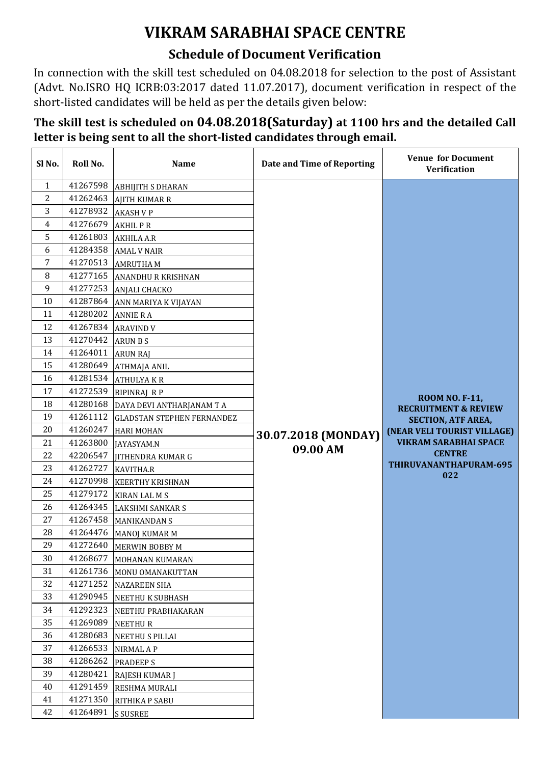## **VIKRAM SARABHAI SPACE CENTRE**

## **Schedule of Document Verification**

In connection with the skill test scheduled on 04.08.2018 for selection to the post of Assistant (Advt. No.ISRO HQ ICRB:03:2017 dated 11.07.2017), document verification in respect of the short-listed candidates will be held as per the details given below:

## **The skill test is scheduled on 04.08.2018(Saturday) at 1100 hrs and the detailed Call letter is being sent to all the short-listed candidates through email.**

| Sl No.         | Roll No. | <b>Name</b>                       | Date and Time of Reporting | <b>Venue for Document</b><br><b>Verification</b>         |
|----------------|----------|-----------------------------------|----------------------------|----------------------------------------------------------|
| $\mathbf{1}$   | 41267598 | <b>ABHIJITH S DHARAN</b>          |                            |                                                          |
| $\overline{2}$ | 41262463 | <b>AJITH KUMAR R</b>              |                            |                                                          |
| 3              | 41278932 | <b>AKASH V P</b>                  |                            |                                                          |
| 4              | 41276679 | <b>AKHILPR</b>                    |                            |                                                          |
| 5              | 41261803 | <b>AKHILA A.R</b>                 |                            |                                                          |
| 6              | 41284358 | <b>AMAL V NAIR</b>                |                            |                                                          |
| 7              | 41270513 | <b>AMRUTHAM</b>                   |                            |                                                          |
| 8              | 41277165 | <b>ANANDHU R KRISHNAN</b>         |                            |                                                          |
| 9              | 41277253 | <b>ANJALI CHACKO</b>              |                            |                                                          |
| 10             | 41287864 | ANN MARIYA K VIJAYAN              |                            |                                                          |
| 11             | 41280202 | <b>ANNIE RA</b>                   |                            |                                                          |
| 12             | 41267834 | <b>ARAVIND V</b>                  |                            |                                                          |
| 13             | 41270442 | <b>ARUN B S</b>                   |                            |                                                          |
| 14             | 41264011 | <b>ARUN RAJ</b>                   |                            |                                                          |
| 15             | 41280649 | <b>ATHMAJA ANIL</b>               |                            |                                                          |
| 16             | 41281534 | <b>ATHULYAKR</b>                  |                            |                                                          |
| 17             | 41272539 | <b>BIPINRAJ RP</b>                |                            |                                                          |
| 18             | 41280168 | DAYA DEVI ANTHARJANAM T A         |                            | <b>ROOM NO. F-11,</b><br><b>RECRUITMENT &amp; REVIEW</b> |
| 19             | 41261112 | <b>GLADSTAN STEPHEN FERNANDEZ</b> |                            | <b>SECTION, ATF AREA,</b>                                |
| 20             | 41260247 | <b>HARI MOHAN</b>                 | 30.07.2018 (MONDAY)        | (NEAR VELI TOURIST VILLAGE)                              |
| 21             | 41263800 | JAYASYAM.N                        |                            | <b>VIKRAM SARABHAI SPACE</b>                             |
| 22             | 42206547 | <b>JITHENDRA KUMAR G</b>          | 09.00 AM                   | <b>CENTRE</b>                                            |
| 23             | 41262727 | <b>KAVITHA.R</b>                  |                            | THIRUVANANTHAPURAM-695                                   |
| 24             | 41270998 | <b>KEERTHY KRISHNAN</b>           |                            | 022                                                      |
| 25             | 41279172 | <b>KIRAN LAL M S</b>              |                            |                                                          |
| 26             | 41264345 | <b>LAKSHMI SANKAR S</b>           |                            |                                                          |
| 27             | 41267458 | <b>MANIKANDAN S</b>               |                            |                                                          |
| 28             | 41264476 | MANOJ KUMAR M                     |                            |                                                          |
| 29             | 41272640 | <b>MERWIN BOBBY M</b>             |                            |                                                          |
| 30             | 41268677 | MOHANAN KUMARAN                   |                            |                                                          |
| 31             | 41261736 | MONU OMANAKUTTAN                  |                            |                                                          |
| 32             | 41271252 | <b>NAZAREEN SHA</b>               |                            |                                                          |
| 33             | 41290945 | NEETHU K SUBHASH                  |                            |                                                          |
| 34             | 41292323 | NEETHU PRABHAKARAN                |                            |                                                          |
| 35             | 41269089 | NEETHUR                           |                            |                                                          |
| 36             | 41280683 | NEETHU S PILLAI                   |                            |                                                          |
| 37             | 41266533 | NIRMAL A P                        |                            |                                                          |
| 38             | 41286262 | <b>PRADEEPS</b>                   |                            |                                                          |
| 39             | 41280421 | <b>RAJESH KUMAR J</b>             |                            |                                                          |
| 40             | 41291459 | RESHMA MURALI                     |                            |                                                          |
| 41             | 41271350 | RITHIKA P SABU                    |                            |                                                          |
| 42             | 41264891 | <b>S SUSREE</b>                   |                            |                                                          |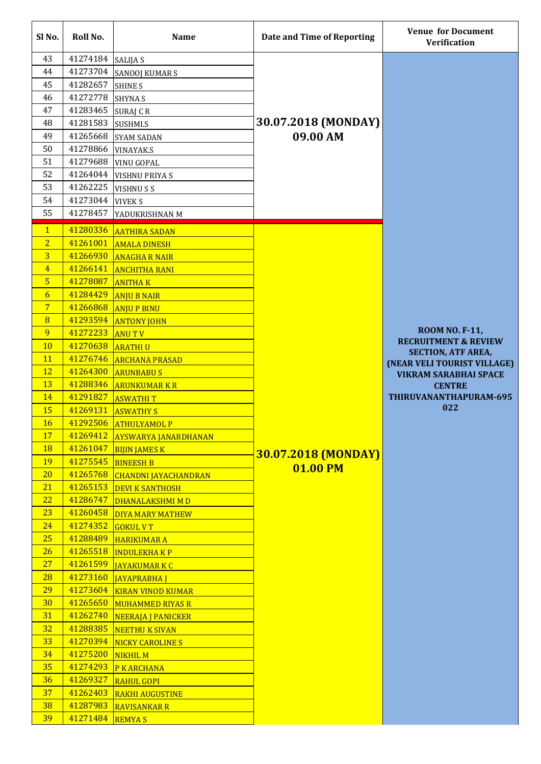| Sl No.         | Roll No.             | <b>Name</b>                               | Date and Time of Reporting | <b>Venue for Document</b><br><b>Verification</b>         |
|----------------|----------------------|-------------------------------------------|----------------------------|----------------------------------------------------------|
| 43             | 41274184             | <b>SALIJA S</b>                           |                            |                                                          |
| 44             | 41273704             | <b>SANOOJ KUMAR S</b>                     |                            |                                                          |
| 45             | 41282657             | <b>SHINE S</b>                            |                            |                                                          |
| 46             | 41272778             | <b>SHYNA S</b>                            |                            |                                                          |
| 47             | 41283465             | SURAJ CR                                  |                            |                                                          |
| 48             | 41281583             | SUSHMI.S                                  | 30.07.2018 (MONDAY)        |                                                          |
| 49             | 41265668             | <b>SYAM SADAN</b>                         | 09.00 AM                   |                                                          |
| 50             | 41278866             | <b>VINAYAK.S</b>                          |                            |                                                          |
| 51             | 41279688             | <b>VINU GOPAL</b>                         |                            |                                                          |
| 52             | 41264044             | <b>VISHNU PRIYA S</b>                     |                            |                                                          |
| 53             | 41262225             | <b>VISHNUSS</b>                           |                            |                                                          |
| 54             | 41273044             | <b>VIVEK S</b>                            |                            |                                                          |
| 55             | 41278457             | YADUKRISHNAN M                            |                            |                                                          |
| $\vert$ 1      | 41280336             | <b>AATHIRA SADAN</b>                      |                            |                                                          |
| $\overline{2}$ | 41261001             | <b>AMALA DINESH</b>                       |                            |                                                          |
| $\overline{3}$ | 41266930             | <b>ANAGHA R NAIR</b>                      |                            |                                                          |
| $\overline{4}$ | 41266141             | <b>ANCHITHA RANI</b>                      |                            |                                                          |
| $5\phantom{1}$ | 41278087             | <b>ANITHAK</b>                            |                            |                                                          |
| $\overline{6}$ | 41284429             | <b>ANJU B NAIR</b>                        |                            |                                                          |
| $\overline{7}$ | 41266868             | <b>ANJU P BINU</b>                        |                            |                                                          |
| 8              | 41293594             | <b>ANTONY JOHN</b>                        |                            |                                                          |
| 9              | 41272233             | <b>ANUTV</b>                              |                            | <b>ROOM NO. F-11,</b><br><b>RECRUITMENT &amp; REVIEW</b> |
| <b>10</b>      | 41270638             | <b>ARATHIU</b>                            |                            | <b>SECTION, ATF AREA,</b>                                |
| <b>11</b>      | 41276746             | <b>ARCHANA PRASAD</b>                     |                            | (NEAR VELI TOURIST VILLAGE)                              |
| <b>12</b>      | 41264300             | <b>ARUNBABUS</b>                          |                            | <b>VIKRAM SARABHAI SPACE</b>                             |
| <b>13</b>      | 41288346             | <b>ARUNKUMAR K R</b>                      |                            | <b>CENTRE</b>                                            |
| <b>14</b>      | 41291827             | <b>ASWATHIT</b>                           |                            | THIRUVANANTHAPURAM-695                                   |
| <b>15</b>      | 41269131             | <b>ASWATHY S</b>                          |                            | 022                                                      |
| <b>16</b>      | 41292506             | <b>ATHULYAMOL P</b>                       |                            |                                                          |
| <b>17</b>      | 41269412             | <b>AYSWARYA JANARDHANAN</b>               |                            |                                                          |
| <b>18</b>      | 41261047             | <b>BIJIN JAMES K</b>                      | <b>30.07.2018 (MONDAY)</b> |                                                          |
| 19             | 41275545             | <b>BINEESH B</b>                          | 01.00 PM                   |                                                          |
| <b>20</b>      | 41265768             | <b>CHANDNI JAYACHANDRAN</b>               |                            |                                                          |
| 21             | 41265153             | <b>DEVI K SANTHOSH</b>                    |                            |                                                          |
| 22             | 41286747             | DHANALAKSHMI M D                          |                            |                                                          |
| 23             | 41260458             | <b>DIYA MARY MATHEW</b>                   |                            |                                                          |
| 24<br>25       | 41274352<br>41288489 | <b>GOKUL V T</b>                          |                            |                                                          |
| 26             | 41265518             | <b>HARIKUMAR A</b>                        |                            |                                                          |
| 27             | 41261599             | <b>INDULEKHAKP</b>                        |                            |                                                          |
| 28             | 41273160             | <b>JAYAKUMARKC</b><br><b>JAYAPRABHA J</b> |                            |                                                          |
| <b>29</b>      | 41273604             | <b>KIRAN VINOD KUMAR</b>                  |                            |                                                          |
| 30             | 41265650             | <b>MUHAMMED RIYAS R</b>                   |                            |                                                          |
| 31             | 41262740             | <b>NEERAJA J PANICKER</b>                 |                            |                                                          |
| 32             | 41288385             | NEETHU K SIVAN                            |                            |                                                          |
| 33             | 41270394             | <b>NICKY CAROLINE S</b>                   |                            |                                                          |
| 34             | 41275200             | NIKHIL M                                  |                            |                                                          |
| 35             | 41274293             | <b>P K ARCHANA</b>                        |                            |                                                          |
| 36             | 41269327             | <b>RAHUL GOPI</b>                         |                            |                                                          |
| 37             | 41262403             | <b>RAKHI AUGUSTINE</b>                    |                            |                                                          |
| 38             | 41287983             | <b>RAVISANKAR R</b>                       |                            |                                                          |
| 39             | 41271484             | <b>REMYAS</b>                             |                            |                                                          |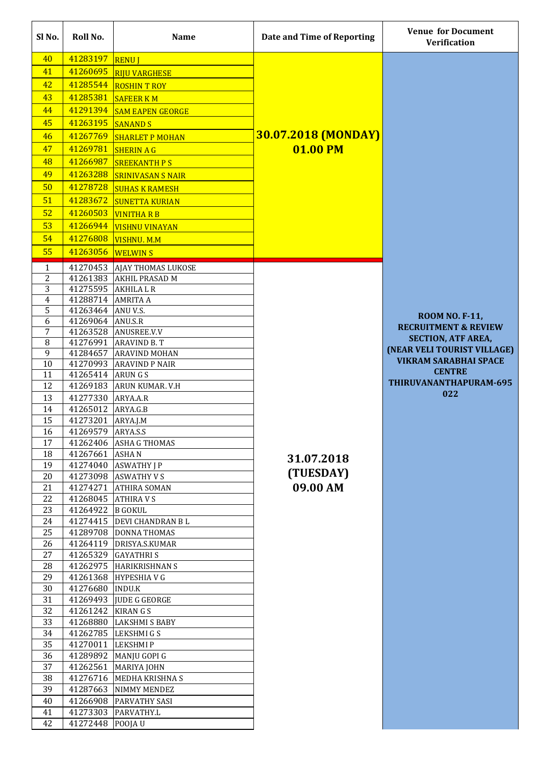| Sl No.              | Roll No.                    | <b>Name</b>                                   | Date and Time of Reporting | <b>Venue for Document</b><br><b>Verification</b>         |
|---------------------|-----------------------------|-----------------------------------------------|----------------------------|----------------------------------------------------------|
| 40                  | 41283197                    | <b>RENUJ</b>                                  |                            |                                                          |
| 41                  | 41260695                    | <b>RIJU VARGHESE</b>                          |                            |                                                          |
| 42                  | 41285544                    | <b>ROSHIN T ROY</b>                           |                            |                                                          |
| 43                  | 41285381                    | <b>SAFEER KM</b>                              |                            |                                                          |
| 44                  | 41291394                    | <b>SAM EAPEN GEORGE</b>                       |                            |                                                          |
| 45                  | 41263195                    |                                               |                            |                                                          |
| 46                  | 41267769                    | <b>SANAND S</b><br><b>SHARLET P MOHAN</b>     | <b>30.07.2018 (MONDAY)</b> |                                                          |
| 47                  | 41269781                    | <b>SHERIN A G</b>                             | 01.00 PM                   |                                                          |
| 48                  | 41266987                    | <b>SREEKANTH PS</b>                           |                            |                                                          |
| 49                  | 41263288                    | <b>SRINIVASAN S NAIR</b>                      |                            |                                                          |
| 50                  | 41278728                    |                                               |                            |                                                          |
| 51                  | 41283672                    | <b>SUHAS K RAMESH</b>                         |                            |                                                          |
| 52                  | 41260503                    | <b>SUNETTA KURIAN</b>                         |                            |                                                          |
| 53                  | 41266944                    | <b>VINITHA R B</b>                            |                            |                                                          |
| 54                  | 41276808                    | <b>VISHNU VINAYAN</b>                         |                            |                                                          |
| 55                  | 41263056                    | <b>VISHNU. M.M</b><br><b>WELWINS</b>          |                            |                                                          |
|                     |                             |                                               |                            |                                                          |
| $\mathbf{1}$        | 41270453                    | <b>AJAY THOMAS LUKOSE</b>                     |                            |                                                          |
| $\overline{2}$<br>3 | 41261383<br>41275595        | <b>AKHIL PRASAD M</b><br><b>AKHILALR</b>      |                            |                                                          |
| 4                   | 41288714                    | <b>AMRITA A</b>                               |                            |                                                          |
| 5                   | 41263464                    | ANU V.S.                                      |                            |                                                          |
| 6                   | 41269064                    | ANU.S.R                                       |                            | <b>ROOM NO. F-11,</b>                                    |
| 7                   | 41263528                    | ANUSREE.V.V                                   |                            | <b>RECRUITMENT &amp; REVIEW</b>                          |
| 8                   | 41276991                    | <b>ARAVIND B.T</b>                            |                            | <b>SECTION, ATF AREA,</b><br>(NEAR VELI TOURIST VILLAGE) |
| 9                   | 41284657                    | <b>ARAVIND MOHAN</b>                          |                            | <b>VIKRAM SARABHAI SPACE</b>                             |
| 10                  |                             | 41270993 ARAVIND P NAIR                       |                            | <b>CENTRE</b>                                            |
| 11<br>12            | 41265414 ARUNGS<br>41269183 | <b>ARUN KUMAR, V.H</b>                        |                            | THIRUVANANTHAPURAM-695                                   |
| 13                  | 41277330                    | ARYA.A.R                                      |                            | 022                                                      |
| 14                  | 41265012                    | ARYA.G.B                                      |                            |                                                          |
| 15                  | 41273201                    | ARYA.J.M                                      |                            |                                                          |
| 16                  | 41269579                    | ARYA.S.S                                      |                            |                                                          |
| 17                  | 41262406                    | <b>ASHA G THOMAS</b>                          |                            |                                                          |
| 18                  | 41267661                    | <b>ASHAN</b>                                  | 31.07.2018                 |                                                          |
| 19                  | 41274040                    | <b>ASWATHY J P</b>                            |                            |                                                          |
| 20                  |                             | 41273098 ASWATHY V S                          | (TUESDAY)                  |                                                          |
| 21                  | 41274271                    | <b>ATHIRA SOMAN</b>                           | 09.00 AM                   |                                                          |
| 22                  | 41268045 ATHIRAVS           |                                               |                            |                                                          |
| 23                  | 41264922                    | <b>B</b> GOKUL                                |                            |                                                          |
| 24                  |                             | 41274415 DEVI CHANDRAN B L                    |                            |                                                          |
| 25                  |                             | 41289708 DONNA THOMAS                         |                            |                                                          |
| 26<br>27            | 41264119<br>41265329        | DRISYA.S.KUMAR<br><b>GAYATHRIS</b>            |                            |                                                          |
| 28                  | 41262975                    | <b>HARIKRISHNAN S</b>                         |                            |                                                          |
| 29                  |                             | 41261368 HYPESHIA V G                         |                            |                                                          |
| 30                  | 41276680                    | <b>INDU.K</b>                                 |                            |                                                          |
| 31                  | 41269493                    | <b>JUDE G GEORGE</b>                          |                            |                                                          |
| 32                  | 41261242                    | <b>KIRANGS</b>                                |                            |                                                          |
| 33                  | 41268880                    | <b>LAKSHMI S BABY</b>                         |                            |                                                          |
| 34                  | 41262785                    | LEKSHMI G S                                   |                            |                                                          |
| 35                  | 41270011                    | <b>LEKSHMIP</b>                               |                            |                                                          |
| 36                  | 41289892                    | MANJU GOPI G                                  |                            |                                                          |
| 37                  | 41262561                    | <b>MARIYA JOHN</b>                            |                            |                                                          |
| 38                  | 41276716                    | MEDHA KRISHNA S                               |                            |                                                          |
| 39<br>40            | 41266908                    | 41287663 NIMMY MENDEZ<br><b>PARVATHY SASI</b> |                            |                                                          |
| 41                  | 41273303                    | PARVATHY.L                                    |                            |                                                          |
| 42                  | 41272448                    | POOJAU                                        |                            |                                                          |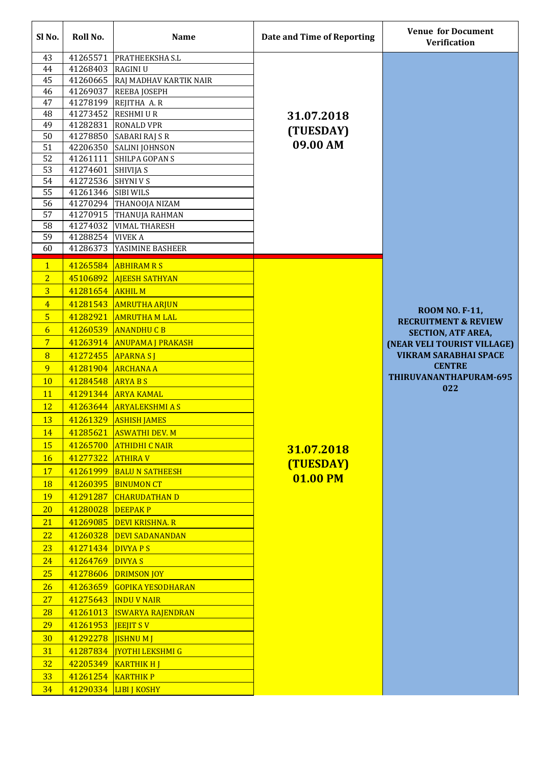| Sl No.                           | Roll No.             | <b>Name</b>                                  | Date and Time of Reporting | <b>Venue for Document</b><br><b>Verification</b>         |
|----------------------------------|----------------------|----------------------------------------------|----------------------------|----------------------------------------------------------|
| 43                               | 41265571             | <b>PRATHEEKSHA S.L</b>                       |                            |                                                          |
| 44                               | 41268403             | <b>RAGINIU</b>                               |                            |                                                          |
| 45                               | 41260665             | RAJ MADHAV KARTIK NAIR                       |                            |                                                          |
| 46                               | 41269037             | <b>REEBA JOSEPH</b>                          |                            |                                                          |
| 47                               | 41278199             | REJITHA A.R                                  |                            |                                                          |
| 48                               | 41273452             | <b>RESHMIUR</b>                              | 31.07.2018                 |                                                          |
| 49<br>50                         | 41282831<br>41278850 | <b>RONALD VPR</b>                            | (TUESDAY)                  |                                                          |
| 51                               | 42206350             | SABARI RAJ S R<br><b>SALINI JOHNSON</b>      | 09.00 AM                   |                                                          |
| 52                               | 41261111             | SHILPA GOPAN S                               |                            |                                                          |
| 53                               | 41274601             | <b>SHIVIJA S</b>                             |                            |                                                          |
| 54                               | 41272536             | <b>SHYNIVS</b>                               |                            |                                                          |
| 55                               | 41261346             | <b>SIBI WILS</b>                             |                            |                                                          |
| 56                               | 41270294             | <b>THANOOJA NIZAM</b>                        |                            |                                                          |
| 57                               | 41270915             | <b>THANUJA RAHMAN</b>                        |                            |                                                          |
| 58                               | 41274032             | <b>VIMAL THARESH</b>                         |                            |                                                          |
| 59                               | 41288254             | <b>VIVEK A</b>                               |                            |                                                          |
| 60                               | 41286373             | YASIMINE BASHEER                             |                            |                                                          |
| $\mathbf{1}$<br>$\overline{2}$   | 41265584             | <b>ABHIRAM R S</b>                           |                            |                                                          |
|                                  | 45106892             | <b>AJEESH SATHYAN</b>                        |                            |                                                          |
| $\overline{3}$                   | 41281654             | <b>AKHIL M</b>                               |                            |                                                          |
| $\overline{4}$<br>5 <sup>5</sup> | 41281543<br>41282921 | <b>AMRUTHA ARJUN</b><br><b>AMRUTHA M LAL</b> |                            | <b>ROOM NO. F-11,</b>                                    |
| $\overline{6}$                   | 41260539             | <b>ANANDHUCB</b>                             |                            | <b>RECRUITMENT &amp; REVIEW</b>                          |
| $\overline{7}$                   |                      | 41263914 ANUPAMA J PRAKASH                   |                            | <b>SECTION, ATF AREA,</b><br>(NEAR VELI TOURIST VILLAGE) |
| 8                                |                      | 41272455 APARNA SJ                           |                            | <b>VIKRAM SARABHAI SPACE</b>                             |
| 9                                | 41281904             | <b>ARCHANA A</b>                             |                            | <b>CENTRE</b>                                            |
| <b>10</b>                        | 41284548 ARYABS      |                                              |                            | THIRUVANANTHAPURAM-695                                   |
| <b>11</b>                        |                      | 41291344 ARYA KAMAL                          |                            | 022                                                      |
| <b>12</b>                        |                      | 41263644 ARYALEKSHMIAS                       |                            |                                                          |
| 13                               | 41261329             | <b>ASHISH JAMES</b>                          |                            |                                                          |
| 14                               | 41285621             | <b>ASWATHI DEV. M</b>                        |                            |                                                          |
| <b>15</b>                        |                      | 41265700 ATHIDHI C NAIR                      | 31.07.2018                 |                                                          |
| <b>16</b>                        | 41277322             | <b>ATHIRAV</b>                               |                            |                                                          |
| <b>17</b>                        | 41261999             | <b>BALU N SATHEESH</b>                       | (TUESDAY)                  |                                                          |
| <b>18</b>                        | 41260395             | <b>BINUMON CT</b>                            | 01.00 PM                   |                                                          |
| <b>19</b>                        | 41291287             | <b>CHARUDATHAN D</b>                         |                            |                                                          |
| 20                               | 41280028             | <b>DEEPAKP</b>                               |                            |                                                          |
| 21                               |                      | 41269085 DEVI KRISHNA. R                     |                            |                                                          |
| 22                               |                      | 41260328 DEVI SADANANDAN                     |                            |                                                          |
| 23                               | 41271434 DIVYAPS     |                                              |                            |                                                          |
| 24                               | 41264769 DIVYA S     |                                              |                            |                                                          |
| 25                               | 41278606             | <b>DRIMSON JOY</b>                           |                            |                                                          |
| 26                               | 41263659             | <b>GOPIKA YESODHARAN</b>                     |                            |                                                          |
| 27                               |                      | 41275643   INDU V NAIR                       |                            |                                                          |
| 28                               | 41261013             | <b>ISWARYA RAJENDRAN</b>                     |                            |                                                          |
| 29                               | 41261953             | <b>JEEJIT SV</b>                             |                            |                                                          |
| 30<br><b>31</b>                  | 41292278 JISHNU M J  | 41287834   JYOTHI LEKSHMI G                  |                            |                                                          |
| 32 <sub>2</sub>                  |                      | 42205349   KARTHIK H J                       |                            |                                                          |
| 33                               | 41261254 KARTHIK P   |                                              |                            |                                                          |
| 34                               |                      | 41290334 LIBI   KOSHY                        |                            |                                                          |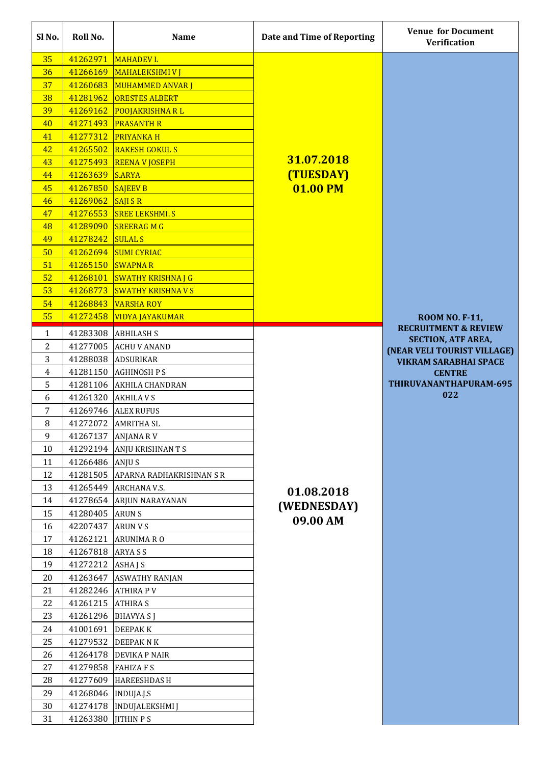| Sl No.         | Roll No.             | <b>Name</b>               | Date and Time of Reporting | <b>Venue for Document</b><br><b>Verification</b>         |
|----------------|----------------------|---------------------------|----------------------------|----------------------------------------------------------|
| 35             | 41262971             | <b>MAHADEV L</b>          |                            |                                                          |
| 36             | 41266169             | <b>MAHALEKSHMIVI</b>      |                            |                                                          |
| 37             | 41260683             | <b>MUHAMMED ANVAR J</b>   |                            |                                                          |
| 38             | 41281962             | <b>ORESTES ALBERT</b>     |                            |                                                          |
| 39             | 41269162             | <b>POOJAKRISHNA RL</b>    |                            |                                                          |
| 40             | 41271493             | <b>PRASANTH R</b>         |                            |                                                          |
| 41             | 41277312             | <b>PRIYANKA H</b>         |                            |                                                          |
| 42             | 41265502             | <b>RAKESH GOKULS</b>      |                            |                                                          |
| 43             | 41275493             | <b>REENA V JOSEPH</b>     | 31.07.2018                 |                                                          |
| 44             | 41263639             | <b>S.ARYA</b>             | (TUESDAY)                  |                                                          |
| 45             | 41267850             | <b>SAJEEV B</b>           | 01.00 PM                   |                                                          |
| 46             | 41269062             | <b>SAJISR</b>             |                            |                                                          |
| 47             | 41276553             | <b>SREE LEKSHMI.S</b>     |                            |                                                          |
| 48             | 41289090             | <b>SREERAGMG</b>          |                            |                                                          |
| 49             | 41278242             | <b>SULAL S</b>            |                            |                                                          |
| 50             | 41262694             | <b>SUMI CYRIAC</b>        |                            |                                                          |
| 51             | 41265150             | <b>SWAPNAR</b>            |                            |                                                          |
| 52             | 41268101             | <b>SWATHY KRISHNA J G</b> |                            |                                                          |
| 53             | 41268773             | <b>SWATHY KRISHNA V S</b> |                            |                                                          |
| 54             | 41268843             | <b>VARSHA ROY</b>         |                            |                                                          |
| 55             | 41272458             | <b>VIDYA JAYAKUMAR</b>    |                            | <b>ROOM NO. F-11,</b>                                    |
| $\mathbf{1}$   | 41283308             | <b>ABHILASH S</b>         |                            | <b>RECRUITMENT &amp; REVIEW</b>                          |
| 2              | 41277005             | <b>ACHU V ANAND</b>       |                            | <b>SECTION, ATF AREA,</b><br>(NEAR VELI TOURIST VILLAGE) |
| 3              |                      | 41288038 ADSURIKAR        |                            | <b>VIKRAM SARABHAI SPACE</b>                             |
| 4              |                      | 41281150 AGHINOSH P S     |                            | <b>CENTRE</b>                                            |
| 5              |                      | 41281106 AKHILA CHANDRAN  |                            | THIRUVANANTHAPURAM-695                                   |
| 6              | 41261320             | <b>AKHILA V S</b>         |                            | 022                                                      |
| $\overline{7}$ | 41269746             | <b>ALEX RUFUS</b>         |                            |                                                          |
| 8              | 41272072             | <b>AMRITHA SL</b>         |                            |                                                          |
| 9              | 41267137             | <b>ANJANA RV</b>          |                            |                                                          |
| 10             |                      | 41292194 ANJU KRISHNANTS  |                            |                                                          |
| 11             | 41266486 ANJUS       |                           |                            |                                                          |
| 12             | 41281505             | APARNA RADHAKRISHNAN S R  |                            |                                                          |
| 13             | 41265449             | <b>ARCHANA V.S.</b>       | 01.08.2018                 |                                                          |
| 14             | 41278654             | ARJUN NARAYANAN           | (WEDNESDAY)                |                                                          |
| 15             | 41280405             | <b>ARUNS</b>              | 09.00 AM                   |                                                          |
| 16             | 42207437             | <b>ARUN V S</b>           |                            |                                                          |
| 17             | 41262121             | <b>ARUNIMA RO</b>         |                            |                                                          |
| 18             | 41267818             | <b>ARYASS</b>             |                            |                                                          |
| 19             | 41272212             | ASHA J S                  |                            |                                                          |
| 20             | 41263647             | <b>ASWATHY RANJAN</b>     |                            |                                                          |
| 21             | 41282246             | <b>ATHIRA PV</b>          |                            |                                                          |
| 22             | 41261215             | <b>ATHIRA S</b>           |                            |                                                          |
| 23             | 41261296             | <b>BHAVYA SJ</b>          |                            |                                                          |
| 24             | 41001691             | <b>DEEPAKK</b>            |                            |                                                          |
| 25             | 41279532             | <b>DEEPAKNK</b>           |                            |                                                          |
| 26             |                      | 41264178 DEVIKA P NAIR    |                            |                                                          |
| 27             | 41279858 FAHIZA F S  |                           |                            |                                                          |
| 28             | 41277609             | <b>HAREESHDASH</b>        |                            |                                                          |
| 29             | 41268046  INDUJA.J.S |                           |                            |                                                          |
| 30             | 41274178<br>41263380 | <b>INDUJALEKSHMI J</b>    |                            |                                                          |
| 31             |                      | <b>JITHIN PS</b>          |                            |                                                          |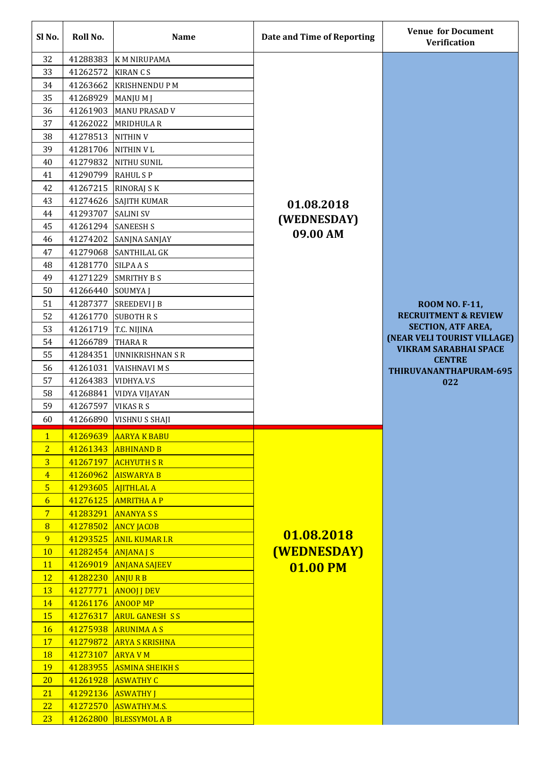| Sl No.         | Roll No.             | <b>Name</b>                               | Date and Time of Reporting | <b>Venue for Document</b><br><b>Verification</b>            |
|----------------|----------------------|-------------------------------------------|----------------------------|-------------------------------------------------------------|
| 32             | 41288383             | K M NIRUPAMA                              |                            |                                                             |
| 33             | 41262572             | <b>KIRAN CS</b>                           |                            |                                                             |
| 34             | 41263662             | <b>KRISHNENDU P M</b>                     |                            |                                                             |
| 35             | 41268929             | MANJU M J                                 |                            |                                                             |
| 36             | 41261903             | <b>MANU PRASAD V</b>                      |                            |                                                             |
| 37             | 41262022             | <b>MRIDHULA R</b>                         |                            |                                                             |
| 38             | 41278513             | <b>NITHIN V</b>                           |                            |                                                             |
| 39             | 41281706             | <b>NITHIN VL</b>                          |                            |                                                             |
| 40             | 41279832             | <b>NITHU SUNIL</b>                        |                            |                                                             |
| 41             | 41290799             | <b>RAHULSP</b>                            |                            |                                                             |
| 42             | 41267215             | <b>RINORAJ S K</b>                        |                            |                                                             |
| 43             | 41274626             | <b>SAJITH KUMAR</b>                       | 01.08.2018                 |                                                             |
| 44             | 41293707             | <b>SALINI SV</b>                          | (WEDNESDAY)                |                                                             |
| 45             | 41261294             | <b>SANEESH S</b>                          | 09.00 AM                   |                                                             |
| 46             | 41274202             | SANJNA SANJAY                             |                            |                                                             |
| 47             | 41279068             | <b>SANTHILAL GK</b>                       |                            |                                                             |
| 48             | 41281770             | <b>SILPAAS</b>                            |                            |                                                             |
| 49             | 41271229             | <b>SMRITHY B S</b>                        |                            |                                                             |
| 50             | 41266440             | <b>SOUMYAJ</b>                            |                            |                                                             |
| 51             | 41287377             | <b>SREEDEVI J B</b>                       |                            | <b>ROOM NO. F-11,</b>                                       |
| 52             | 41261770             | <b>SUBOTH R S</b>                         |                            | <b>RECRUITMENT &amp; REVIEW</b>                             |
| 53             | 41261719             | T.C. NIJINA                               |                            | <b>SECTION, ATF AREA,</b>                                   |
| 54             | 41266789             | <b>THARA R</b>                            |                            | (NEAR VELI TOURIST VILLAGE)<br><b>VIKRAM SARABHAI SPACE</b> |
| 55             | 41284351             | <b>UNNIKRISHNAN S R</b>                   |                            | <b>CENTRE</b>                                               |
| 56             | 41261031             | <b>VAISHNAVI M S</b>                      |                            | THIRUVANANTHAPURAM-695                                      |
| 57             | 41264383             | VIDHYA.V.S                                |                            | 022                                                         |
| 58             | 41268841             | VIDYA VIJAYAN                             |                            |                                                             |
| 59             | 41267597             | <b>VIKAS R S</b>                          |                            |                                                             |
| 60             | 41266890             | VISHNU S SHAJI                            |                            |                                                             |
| $\mathbf{1}$   | 41269639             | <b>AARYA K BABU</b>                       |                            |                                                             |
| $\overline{2}$ | 41261343             | <b>ABHINAND B</b>                         |                            |                                                             |
| $\overline{3}$ | 41267197             | <b>ACHYUTH S R</b>                        |                            |                                                             |
| $\overline{4}$ | 41260962             | <b>AISWARYA B</b>                         |                            |                                                             |
| 5 <sub>5</sub> | 41293605             | <b>AJITHLAL A</b>                         |                            |                                                             |
| $\overline{6}$ | 41276125             | <b>AMRITHA A P</b>                        |                            |                                                             |
| $\overline{7}$ | 41283291             | <b>ANANYASS</b>                           |                            |                                                             |
| 8<br>9         | 41278502             | <b>ANCY JACOB</b>                         | 01.08.2018                 |                                                             |
| <b>10</b>      | 41293525<br>41282454 | <b>ANIL KUMAR I.R</b>                     | <b>(WEDNESDAY)</b>         |                                                             |
| 11             | 41269019             | <b>ANJANA J S</b><br><b>ANJANA SAJEEV</b> |                            |                                                             |
| <b>12</b>      | 41282230             | <b>ANJURB</b>                             | <b>01.00 PM</b>            |                                                             |
| <b>13</b>      | 41277771             | <b>ANOOJ J DEV</b>                        |                            |                                                             |
| 14             | 41261176             | <b>ANOOP MP</b>                           |                            |                                                             |
| <b>15</b>      | 41276317             | <b>ARUL GANESH SS</b>                     |                            |                                                             |
| <b>16</b>      | 41275938             | <b>ARUNIMA A S</b>                        |                            |                                                             |
| <b>17</b>      | 41279872             | <b>ARYA S KRISHNA</b>                     |                            |                                                             |
| <b>18</b>      | 41273107             | <b>ARYA VM</b>                            |                            |                                                             |
| 19             | 41283955             | <b>ASMINA SHEIKH S</b>                    |                            |                                                             |
| 20             | 41261928             | <b>ASWATHY C</b>                          |                            |                                                             |
| 21             | 41292136 ASWATHY J   |                                           |                            |                                                             |
| 22             | 41272570             | ASWATHY.M.S.                              |                            |                                                             |
| 23             | 41262800             | <b>BLESSYMOL A B</b>                      |                            |                                                             |
|                |                      |                                           |                            |                                                             |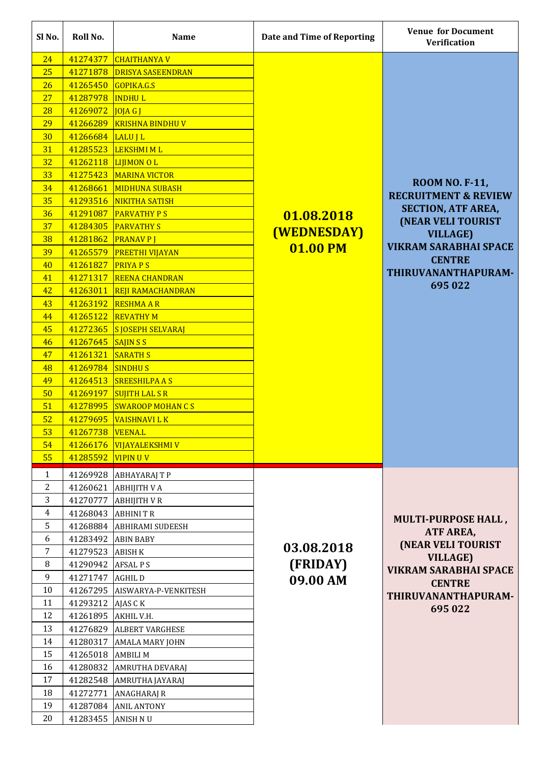| 41274377<br>24<br><b>CHAITHANYA V</b><br>25<br>41271878<br><b>DRISYA SASEENDRAN</b><br>41265450<br>26<br>GOPIKA.G.S<br>27<br>41287978<br><b>INDHUL</b><br>28<br>41269072<br>JOJAGJ<br>29<br>41266289<br><b>KRISHNA BINDHUV</b><br>41266684<br>30<br>LALU J L<br>31<br>41285523<br><b>LEKSHMI ML</b><br>32<br>41262118<br><b>LIJIMON OL</b><br>33<br>41275423<br><b>MARINA VICTOR</b><br><b>ROOM NO. F-11,</b><br>34<br>41268661<br><b>MIDHUNA SUBASH</b><br><b>RECRUITMENT &amp; REVIEW</b><br>35<br>41293516<br>NIKITHA SATISH<br><b>SECTION, ATF AREA,</b><br>36<br>41291087<br><b>PARVATHY PS</b><br>01.08.2018<br><b>(NEAR VELI TOURIST</b><br>37<br>41284305<br><b>PARVATHY S</b><br><b>(WEDNESDAY)</b><br><b>VILLAGE)</b><br>41281862<br>38<br><b>PRANAVPI</b><br><b>VIKRAM SARABHAI SPACE</b><br>01.00 PM<br>41265579<br>39<br><b>PREETHI VIJAYAN</b><br><b>CENTRE</b><br>41261827<br><b>PRIYA PS</b><br>40<br>THIRUVANANTHAPURAM-<br>41271317<br>41<br><b>REENA CHANDRAN</b><br>695 022<br>41263011<br>42<br><b>REJI RAMACHANDRAN</b><br>41263192<br>43<br><b>RESHMAAR</b><br>41265122<br>44<br><b>REVATHY M</b><br>41272365 S JOSEPH SELVARAJ<br>45<br>41267645 SAJIN S S<br>46<br>47<br>41261321 SARATH S<br>41269784<br><b>SINDHUS</b><br>48<br>41264513<br>49<br><b>SREESHILPA A S</b><br>41269197<br>50<br><b>SUJITH LAL S R</b><br>41278995<br>51<br><b>SWAROOP MOHAN CS</b><br>52<br>41279695<br><b>VAISHNAVI LK</b><br>53<br>41267738<br><b>VEENA.L</b><br>41266176 VIJAYALEKSHMI V<br>54<br>41285592<br>55<br><b>VIPINUV</b><br>41269928<br>$\mathbf{1}$<br><b>ABHAYARAJ T P</b><br>$\overline{2}$<br>41260621<br><b>ABHIJITH V A</b><br>3<br>41270777<br><b>ABHIJITH V R</b><br>$\overline{4}$<br>41268043<br><b>ABHINIT R</b><br><b>MULTI-PURPOSE HALL,</b><br>5<br>41268884<br><b>ABHIRAMI SUDEESH</b><br>ATF AREA,<br>6<br>41283492<br><b>ABIN BABY</b><br>(NEAR VELI TOURIST<br>03.08.2018<br>7<br>41279523<br><b>ABISH K</b><br><b>VILLAGE)</b><br>(FRIDAY)<br>8<br>41290942<br><b>AFSALPS</b><br>9<br>41271747<br><b>AGHILD</b><br>09.00 AM<br><b>CENTRE</b><br>10<br>41267295<br>AISWARYA-P-VENKITESH<br>11<br>41293212<br>AJAS C K<br>695 022<br>12<br>41261895<br>AKHIL V.H.<br>13<br>41276829<br><b>ALBERT VARGHESE</b><br>14<br>41280317<br><b>AMALA MARY JOHN</b><br>15<br>41265018<br><b>AMBILIM</b><br>16<br>41280832<br><b>AMRUTHA DEVARAJ</b><br>17<br>41282548<br><b>AMRUTHA JAYARAJ</b><br>$18\,$<br>41272771<br>ANAGHARAJ R<br>19 | Sl <sub>No.</sub> | Roll No. | <b>Name</b>        | Date and Time of Reporting | <b>Venue for Document</b><br><b>Verification</b> |
|------------------------------------------------------------------------------------------------------------------------------------------------------------------------------------------------------------------------------------------------------------------------------------------------------------------------------------------------------------------------------------------------------------------------------------------------------------------------------------------------------------------------------------------------------------------------------------------------------------------------------------------------------------------------------------------------------------------------------------------------------------------------------------------------------------------------------------------------------------------------------------------------------------------------------------------------------------------------------------------------------------------------------------------------------------------------------------------------------------------------------------------------------------------------------------------------------------------------------------------------------------------------------------------------------------------------------------------------------------------------------------------------------------------------------------------------------------------------------------------------------------------------------------------------------------------------------------------------------------------------------------------------------------------------------------------------------------------------------------------------------------------------------------------------------------------------------------------------------------------------------------------------------------------------------------------------------------------------------------------------------------------------------------------------------------------------------------------------------------------------------------------------------------------------------------------------------------------------------------------------------------------------------------------------------------------------------------------------------------------------------------------------------------------------------------------------------------------------|-------------------|----------|--------------------|----------------------------|--------------------------------------------------|
|                                                                                                                                                                                                                                                                                                                                                                                                                                                                                                                                                                                                                                                                                                                                                                                                                                                                                                                                                                                                                                                                                                                                                                                                                                                                                                                                                                                                                                                                                                                                                                                                                                                                                                                                                                                                                                                                                                                                                                                                                                                                                                                                                                                                                                                                                                                                                                                                                                                                        |                   |          |                    |                            |                                                  |
|                                                                                                                                                                                                                                                                                                                                                                                                                                                                                                                                                                                                                                                                                                                                                                                                                                                                                                                                                                                                                                                                                                                                                                                                                                                                                                                                                                                                                                                                                                                                                                                                                                                                                                                                                                                                                                                                                                                                                                                                                                                                                                                                                                                                                                                                                                                                                                                                                                                                        |                   |          |                    |                            |                                                  |
|                                                                                                                                                                                                                                                                                                                                                                                                                                                                                                                                                                                                                                                                                                                                                                                                                                                                                                                                                                                                                                                                                                                                                                                                                                                                                                                                                                                                                                                                                                                                                                                                                                                                                                                                                                                                                                                                                                                                                                                                                                                                                                                                                                                                                                                                                                                                                                                                                                                                        |                   |          |                    |                            |                                                  |
|                                                                                                                                                                                                                                                                                                                                                                                                                                                                                                                                                                                                                                                                                                                                                                                                                                                                                                                                                                                                                                                                                                                                                                                                                                                                                                                                                                                                                                                                                                                                                                                                                                                                                                                                                                                                                                                                                                                                                                                                                                                                                                                                                                                                                                                                                                                                                                                                                                                                        |                   |          |                    |                            |                                                  |
|                                                                                                                                                                                                                                                                                                                                                                                                                                                                                                                                                                                                                                                                                                                                                                                                                                                                                                                                                                                                                                                                                                                                                                                                                                                                                                                                                                                                                                                                                                                                                                                                                                                                                                                                                                                                                                                                                                                                                                                                                                                                                                                                                                                                                                                                                                                                                                                                                                                                        |                   |          |                    |                            |                                                  |
|                                                                                                                                                                                                                                                                                                                                                                                                                                                                                                                                                                                                                                                                                                                                                                                                                                                                                                                                                                                                                                                                                                                                                                                                                                                                                                                                                                                                                                                                                                                                                                                                                                                                                                                                                                                                                                                                                                                                                                                                                                                                                                                                                                                                                                                                                                                                                                                                                                                                        |                   |          |                    |                            |                                                  |
|                                                                                                                                                                                                                                                                                                                                                                                                                                                                                                                                                                                                                                                                                                                                                                                                                                                                                                                                                                                                                                                                                                                                                                                                                                                                                                                                                                                                                                                                                                                                                                                                                                                                                                                                                                                                                                                                                                                                                                                                                                                                                                                                                                                                                                                                                                                                                                                                                                                                        |                   |          |                    |                            |                                                  |
|                                                                                                                                                                                                                                                                                                                                                                                                                                                                                                                                                                                                                                                                                                                                                                                                                                                                                                                                                                                                                                                                                                                                                                                                                                                                                                                                                                                                                                                                                                                                                                                                                                                                                                                                                                                                                                                                                                                                                                                                                                                                                                                                                                                                                                                                                                                                                                                                                                                                        |                   |          |                    |                            |                                                  |
|                                                                                                                                                                                                                                                                                                                                                                                                                                                                                                                                                                                                                                                                                                                                                                                                                                                                                                                                                                                                                                                                                                                                                                                                                                                                                                                                                                                                                                                                                                                                                                                                                                                                                                                                                                                                                                                                                                                                                                                                                                                                                                                                                                                                                                                                                                                                                                                                                                                                        |                   |          |                    |                            |                                                  |
|                                                                                                                                                                                                                                                                                                                                                                                                                                                                                                                                                                                                                                                                                                                                                                                                                                                                                                                                                                                                                                                                                                                                                                                                                                                                                                                                                                                                                                                                                                                                                                                                                                                                                                                                                                                                                                                                                                                                                                                                                                                                                                                                                                                                                                                                                                                                                                                                                                                                        |                   |          |                    |                            |                                                  |
|                                                                                                                                                                                                                                                                                                                                                                                                                                                                                                                                                                                                                                                                                                                                                                                                                                                                                                                                                                                                                                                                                                                                                                                                                                                                                                                                                                                                                                                                                                                                                                                                                                                                                                                                                                                                                                                                                                                                                                                                                                                                                                                                                                                                                                                                                                                                                                                                                                                                        |                   |          |                    |                            |                                                  |
|                                                                                                                                                                                                                                                                                                                                                                                                                                                                                                                                                                                                                                                                                                                                                                                                                                                                                                                                                                                                                                                                                                                                                                                                                                                                                                                                                                                                                                                                                                                                                                                                                                                                                                                                                                                                                                                                                                                                                                                                                                                                                                                                                                                                                                                                                                                                                                                                                                                                        |                   |          |                    |                            |                                                  |
|                                                                                                                                                                                                                                                                                                                                                                                                                                                                                                                                                                                                                                                                                                                                                                                                                                                                                                                                                                                                                                                                                                                                                                                                                                                                                                                                                                                                                                                                                                                                                                                                                                                                                                                                                                                                                                                                                                                                                                                                                                                                                                                                                                                                                                                                                                                                                                                                                                                                        |                   |          |                    |                            |                                                  |
|                                                                                                                                                                                                                                                                                                                                                                                                                                                                                                                                                                                                                                                                                                                                                                                                                                                                                                                                                                                                                                                                                                                                                                                                                                                                                                                                                                                                                                                                                                                                                                                                                                                                                                                                                                                                                                                                                                                                                                                                                                                                                                                                                                                                                                                                                                                                                                                                                                                                        |                   |          |                    |                            |                                                  |
|                                                                                                                                                                                                                                                                                                                                                                                                                                                                                                                                                                                                                                                                                                                                                                                                                                                                                                                                                                                                                                                                                                                                                                                                                                                                                                                                                                                                                                                                                                                                                                                                                                                                                                                                                                                                                                                                                                                                                                                                                                                                                                                                                                                                                                                                                                                                                                                                                                                                        |                   |          |                    |                            |                                                  |
|                                                                                                                                                                                                                                                                                                                                                                                                                                                                                                                                                                                                                                                                                                                                                                                                                                                                                                                                                                                                                                                                                                                                                                                                                                                                                                                                                                                                                                                                                                                                                                                                                                                                                                                                                                                                                                                                                                                                                                                                                                                                                                                                                                                                                                                                                                                                                                                                                                                                        |                   |          |                    |                            |                                                  |
|                                                                                                                                                                                                                                                                                                                                                                                                                                                                                                                                                                                                                                                                                                                                                                                                                                                                                                                                                                                                                                                                                                                                                                                                                                                                                                                                                                                                                                                                                                                                                                                                                                                                                                                                                                                                                                                                                                                                                                                                                                                                                                                                                                                                                                                                                                                                                                                                                                                                        |                   |          |                    |                            |                                                  |
|                                                                                                                                                                                                                                                                                                                                                                                                                                                                                                                                                                                                                                                                                                                                                                                                                                                                                                                                                                                                                                                                                                                                                                                                                                                                                                                                                                                                                                                                                                                                                                                                                                                                                                                                                                                                                                                                                                                                                                                                                                                                                                                                                                                                                                                                                                                                                                                                                                                                        |                   |          |                    |                            |                                                  |
|                                                                                                                                                                                                                                                                                                                                                                                                                                                                                                                                                                                                                                                                                                                                                                                                                                                                                                                                                                                                                                                                                                                                                                                                                                                                                                                                                                                                                                                                                                                                                                                                                                                                                                                                                                                                                                                                                                                                                                                                                                                                                                                                                                                                                                                                                                                                                                                                                                                                        |                   |          |                    |                            |                                                  |
|                                                                                                                                                                                                                                                                                                                                                                                                                                                                                                                                                                                                                                                                                                                                                                                                                                                                                                                                                                                                                                                                                                                                                                                                                                                                                                                                                                                                                                                                                                                                                                                                                                                                                                                                                                                                                                                                                                                                                                                                                                                                                                                                                                                                                                                                                                                                                                                                                                                                        |                   |          |                    |                            |                                                  |
|                                                                                                                                                                                                                                                                                                                                                                                                                                                                                                                                                                                                                                                                                                                                                                                                                                                                                                                                                                                                                                                                                                                                                                                                                                                                                                                                                                                                                                                                                                                                                                                                                                                                                                                                                                                                                                                                                                                                                                                                                                                                                                                                                                                                                                                                                                                                                                                                                                                                        |                   |          |                    |                            |                                                  |
|                                                                                                                                                                                                                                                                                                                                                                                                                                                                                                                                                                                                                                                                                                                                                                                                                                                                                                                                                                                                                                                                                                                                                                                                                                                                                                                                                                                                                                                                                                                                                                                                                                                                                                                                                                                                                                                                                                                                                                                                                                                                                                                                                                                                                                                                                                                                                                                                                                                                        |                   |          |                    |                            |                                                  |
|                                                                                                                                                                                                                                                                                                                                                                                                                                                                                                                                                                                                                                                                                                                                                                                                                                                                                                                                                                                                                                                                                                                                                                                                                                                                                                                                                                                                                                                                                                                                                                                                                                                                                                                                                                                                                                                                                                                                                                                                                                                                                                                                                                                                                                                                                                                                                                                                                                                                        |                   |          |                    |                            |                                                  |
|                                                                                                                                                                                                                                                                                                                                                                                                                                                                                                                                                                                                                                                                                                                                                                                                                                                                                                                                                                                                                                                                                                                                                                                                                                                                                                                                                                                                                                                                                                                                                                                                                                                                                                                                                                                                                                                                                                                                                                                                                                                                                                                                                                                                                                                                                                                                                                                                                                                                        |                   |          |                    |                            |                                                  |
|                                                                                                                                                                                                                                                                                                                                                                                                                                                                                                                                                                                                                                                                                                                                                                                                                                                                                                                                                                                                                                                                                                                                                                                                                                                                                                                                                                                                                                                                                                                                                                                                                                                                                                                                                                                                                                                                                                                                                                                                                                                                                                                                                                                                                                                                                                                                                                                                                                                                        |                   |          |                    |                            |                                                  |
|                                                                                                                                                                                                                                                                                                                                                                                                                                                                                                                                                                                                                                                                                                                                                                                                                                                                                                                                                                                                                                                                                                                                                                                                                                                                                                                                                                                                                                                                                                                                                                                                                                                                                                                                                                                                                                                                                                                                                                                                                                                                                                                                                                                                                                                                                                                                                                                                                                                                        |                   |          |                    |                            |                                                  |
|                                                                                                                                                                                                                                                                                                                                                                                                                                                                                                                                                                                                                                                                                                                                                                                                                                                                                                                                                                                                                                                                                                                                                                                                                                                                                                                                                                                                                                                                                                                                                                                                                                                                                                                                                                                                                                                                                                                                                                                                                                                                                                                                                                                                                                                                                                                                                                                                                                                                        |                   |          |                    |                            |                                                  |
|                                                                                                                                                                                                                                                                                                                                                                                                                                                                                                                                                                                                                                                                                                                                                                                                                                                                                                                                                                                                                                                                                                                                                                                                                                                                                                                                                                                                                                                                                                                                                                                                                                                                                                                                                                                                                                                                                                                                                                                                                                                                                                                                                                                                                                                                                                                                                                                                                                                                        |                   |          |                    |                            |                                                  |
|                                                                                                                                                                                                                                                                                                                                                                                                                                                                                                                                                                                                                                                                                                                                                                                                                                                                                                                                                                                                                                                                                                                                                                                                                                                                                                                                                                                                                                                                                                                                                                                                                                                                                                                                                                                                                                                                                                                                                                                                                                                                                                                                                                                                                                                                                                                                                                                                                                                                        |                   |          |                    |                            |                                                  |
|                                                                                                                                                                                                                                                                                                                                                                                                                                                                                                                                                                                                                                                                                                                                                                                                                                                                                                                                                                                                                                                                                                                                                                                                                                                                                                                                                                                                                                                                                                                                                                                                                                                                                                                                                                                                                                                                                                                                                                                                                                                                                                                                                                                                                                                                                                                                                                                                                                                                        |                   |          |                    |                            |                                                  |
|                                                                                                                                                                                                                                                                                                                                                                                                                                                                                                                                                                                                                                                                                                                                                                                                                                                                                                                                                                                                                                                                                                                                                                                                                                                                                                                                                                                                                                                                                                                                                                                                                                                                                                                                                                                                                                                                                                                                                                                                                                                                                                                                                                                                                                                                                                                                                                                                                                                                        |                   |          |                    |                            |                                                  |
|                                                                                                                                                                                                                                                                                                                                                                                                                                                                                                                                                                                                                                                                                                                                                                                                                                                                                                                                                                                                                                                                                                                                                                                                                                                                                                                                                                                                                                                                                                                                                                                                                                                                                                                                                                                                                                                                                                                                                                                                                                                                                                                                                                                                                                                                                                                                                                                                                                                                        |                   |          |                    |                            |                                                  |
|                                                                                                                                                                                                                                                                                                                                                                                                                                                                                                                                                                                                                                                                                                                                                                                                                                                                                                                                                                                                                                                                                                                                                                                                                                                                                                                                                                                                                                                                                                                                                                                                                                                                                                                                                                                                                                                                                                                                                                                                                                                                                                                                                                                                                                                                                                                                                                                                                                                                        |                   |          |                    |                            |                                                  |
|                                                                                                                                                                                                                                                                                                                                                                                                                                                                                                                                                                                                                                                                                                                                                                                                                                                                                                                                                                                                                                                                                                                                                                                                                                                                                                                                                                                                                                                                                                                                                                                                                                                                                                                                                                                                                                                                                                                                                                                                                                                                                                                                                                                                                                                                                                                                                                                                                                                                        |                   |          |                    |                            |                                                  |
|                                                                                                                                                                                                                                                                                                                                                                                                                                                                                                                                                                                                                                                                                                                                                                                                                                                                                                                                                                                                                                                                                                                                                                                                                                                                                                                                                                                                                                                                                                                                                                                                                                                                                                                                                                                                                                                                                                                                                                                                                                                                                                                                                                                                                                                                                                                                                                                                                                                                        |                   |          |                    |                            |                                                  |
|                                                                                                                                                                                                                                                                                                                                                                                                                                                                                                                                                                                                                                                                                                                                                                                                                                                                                                                                                                                                                                                                                                                                                                                                                                                                                                                                                                                                                                                                                                                                                                                                                                                                                                                                                                                                                                                                                                                                                                                                                                                                                                                                                                                                                                                                                                                                                                                                                                                                        |                   |          |                    |                            |                                                  |
|                                                                                                                                                                                                                                                                                                                                                                                                                                                                                                                                                                                                                                                                                                                                                                                                                                                                                                                                                                                                                                                                                                                                                                                                                                                                                                                                                                                                                                                                                                                                                                                                                                                                                                                                                                                                                                                                                                                                                                                                                                                                                                                                                                                                                                                                                                                                                                                                                                                                        |                   |          |                    |                            |                                                  |
|                                                                                                                                                                                                                                                                                                                                                                                                                                                                                                                                                                                                                                                                                                                                                                                                                                                                                                                                                                                                                                                                                                                                                                                                                                                                                                                                                                                                                                                                                                                                                                                                                                                                                                                                                                                                                                                                                                                                                                                                                                                                                                                                                                                                                                                                                                                                                                                                                                                                        |                   |          |                    |                            |                                                  |
|                                                                                                                                                                                                                                                                                                                                                                                                                                                                                                                                                                                                                                                                                                                                                                                                                                                                                                                                                                                                                                                                                                                                                                                                                                                                                                                                                                                                                                                                                                                                                                                                                                                                                                                                                                                                                                                                                                                                                                                                                                                                                                                                                                                                                                                                                                                                                                                                                                                                        |                   |          |                    |                            |                                                  |
|                                                                                                                                                                                                                                                                                                                                                                                                                                                                                                                                                                                                                                                                                                                                                                                                                                                                                                                                                                                                                                                                                                                                                                                                                                                                                                                                                                                                                                                                                                                                                                                                                                                                                                                                                                                                                                                                                                                                                                                                                                                                                                                                                                                                                                                                                                                                                                                                                                                                        |                   |          |                    |                            | <b>VIKRAM SARABHAI SPACE</b>                     |
|                                                                                                                                                                                                                                                                                                                                                                                                                                                                                                                                                                                                                                                                                                                                                                                                                                                                                                                                                                                                                                                                                                                                                                                                                                                                                                                                                                                                                                                                                                                                                                                                                                                                                                                                                                                                                                                                                                                                                                                                                                                                                                                                                                                                                                                                                                                                                                                                                                                                        |                   |          |                    |                            |                                                  |
|                                                                                                                                                                                                                                                                                                                                                                                                                                                                                                                                                                                                                                                                                                                                                                                                                                                                                                                                                                                                                                                                                                                                                                                                                                                                                                                                                                                                                                                                                                                                                                                                                                                                                                                                                                                                                                                                                                                                                                                                                                                                                                                                                                                                                                                                                                                                                                                                                                                                        |                   |          |                    |                            | THIRUVANANTHAPURAM-                              |
|                                                                                                                                                                                                                                                                                                                                                                                                                                                                                                                                                                                                                                                                                                                                                                                                                                                                                                                                                                                                                                                                                                                                                                                                                                                                                                                                                                                                                                                                                                                                                                                                                                                                                                                                                                                                                                                                                                                                                                                                                                                                                                                                                                                                                                                                                                                                                                                                                                                                        |                   |          |                    |                            |                                                  |
|                                                                                                                                                                                                                                                                                                                                                                                                                                                                                                                                                                                                                                                                                                                                                                                                                                                                                                                                                                                                                                                                                                                                                                                                                                                                                                                                                                                                                                                                                                                                                                                                                                                                                                                                                                                                                                                                                                                                                                                                                                                                                                                                                                                                                                                                                                                                                                                                                                                                        |                   |          |                    |                            |                                                  |
|                                                                                                                                                                                                                                                                                                                                                                                                                                                                                                                                                                                                                                                                                                                                                                                                                                                                                                                                                                                                                                                                                                                                                                                                                                                                                                                                                                                                                                                                                                                                                                                                                                                                                                                                                                                                                                                                                                                                                                                                                                                                                                                                                                                                                                                                                                                                                                                                                                                                        |                   |          |                    |                            |                                                  |
|                                                                                                                                                                                                                                                                                                                                                                                                                                                                                                                                                                                                                                                                                                                                                                                                                                                                                                                                                                                                                                                                                                                                                                                                                                                                                                                                                                                                                                                                                                                                                                                                                                                                                                                                                                                                                                                                                                                                                                                                                                                                                                                                                                                                                                                                                                                                                                                                                                                                        |                   |          |                    |                            |                                                  |
|                                                                                                                                                                                                                                                                                                                                                                                                                                                                                                                                                                                                                                                                                                                                                                                                                                                                                                                                                                                                                                                                                                                                                                                                                                                                                                                                                                                                                                                                                                                                                                                                                                                                                                                                                                                                                                                                                                                                                                                                                                                                                                                                                                                                                                                                                                                                                                                                                                                                        |                   |          |                    |                            |                                                  |
|                                                                                                                                                                                                                                                                                                                                                                                                                                                                                                                                                                                                                                                                                                                                                                                                                                                                                                                                                                                                                                                                                                                                                                                                                                                                                                                                                                                                                                                                                                                                                                                                                                                                                                                                                                                                                                                                                                                                                                                                                                                                                                                                                                                                                                                                                                                                                                                                                                                                        |                   |          |                    |                            |                                                  |
|                                                                                                                                                                                                                                                                                                                                                                                                                                                                                                                                                                                                                                                                                                                                                                                                                                                                                                                                                                                                                                                                                                                                                                                                                                                                                                                                                                                                                                                                                                                                                                                                                                                                                                                                                                                                                                                                                                                                                                                                                                                                                                                                                                                                                                                                                                                                                                                                                                                                        |                   |          |                    |                            |                                                  |
|                                                                                                                                                                                                                                                                                                                                                                                                                                                                                                                                                                                                                                                                                                                                                                                                                                                                                                                                                                                                                                                                                                                                                                                                                                                                                                                                                                                                                                                                                                                                                                                                                                                                                                                                                                                                                                                                                                                                                                                                                                                                                                                                                                                                                                                                                                                                                                                                                                                                        |                   | 41287084 | <b>ANIL ANTONY</b> |                            |                                                  |
| 20<br>41283455<br><b>ANISH NU</b>                                                                                                                                                                                                                                                                                                                                                                                                                                                                                                                                                                                                                                                                                                                                                                                                                                                                                                                                                                                                                                                                                                                                                                                                                                                                                                                                                                                                                                                                                                                                                                                                                                                                                                                                                                                                                                                                                                                                                                                                                                                                                                                                                                                                                                                                                                                                                                                                                                      |                   |          |                    |                            |                                                  |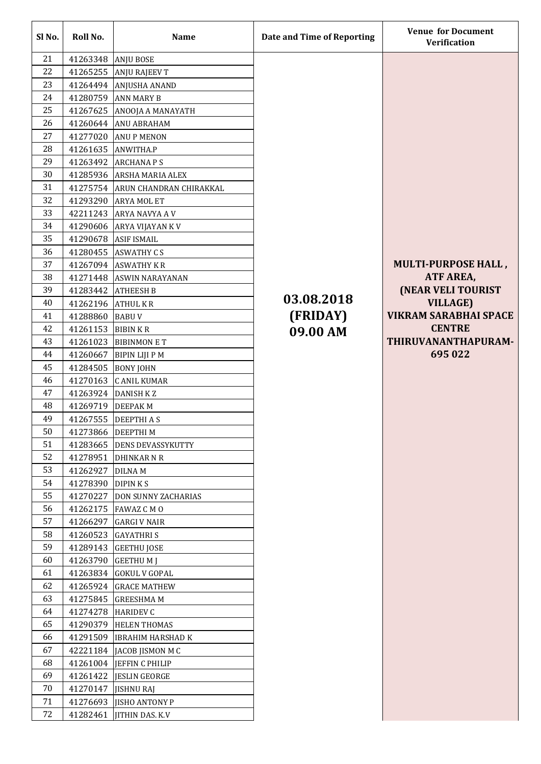| Sl No.   | Roll No.           | <b>Name</b>                      | Date and Time of Reporting | <b>Venue for Document</b><br><b>Verification</b> |
|----------|--------------------|----------------------------------|----------------------------|--------------------------------------------------|
| 21       | 41263348 ANJU BOSE |                                  |                            |                                                  |
| 22       | 41265255           | <b>ANJU RAJEEV T</b>             |                            |                                                  |
| 23       | 41264494           | <b>ANJUSHA ANAND</b>             |                            |                                                  |
| 24       | 41280759           | <b>ANN MARY B</b>                |                            |                                                  |
| 25       | 41267625           | ANOOJA A MANAYATH                |                            |                                                  |
| 26       |                    | 41260644 ANU ABRAHAM             |                            |                                                  |
| 27       |                    | 41277020 ANU P MENON             |                            |                                                  |
| 28       |                    | 41261635 ANWITHA.P               |                            |                                                  |
| 29       | 41263492           | <b>ARCHANAPS</b>                 |                            |                                                  |
| 30       |                    | 41285936 ARSHA MARIA ALEX        |                            |                                                  |
| 31       |                    | 41275754 ARUN CHANDRAN CHIRAKKAL |                            |                                                  |
| 32       | 41293290           | <b>ARYA MOL ET</b>               |                            |                                                  |
| 33       |                    | 42211243 ARYA NAVYA A V          |                            |                                                  |
| 34       |                    | 41290606 ARYA VIJAYAN K V        |                            |                                                  |
| 35       |                    | 41290678 ASIF ISMAIL             |                            |                                                  |
| 36       |                    | 41280455 ASWATHY CS              |                            |                                                  |
| 37       |                    | 41267094 ASWATHY KR              |                            | <b>MULTI-PURPOSE HALL,</b>                       |
| 38       |                    | 41271448 ASWIN NARAYANAN         |                            | ATF AREA,                                        |
| 39       | 41283442           | <b>ATHEESH B</b>                 |                            | <b>(NEAR VELI TOURIST)</b>                       |
| 40       | 41262196 ATHUL KR  |                                  | 03.08.2018                 | <b>VILLAGE)</b>                                  |
| 41       | 41288860           | <b>BABUV</b>                     | (FRIDAY)                   | <b>VIKRAM SARABHAI SPACE</b>                     |
| 42       | 41261153 BIBIN KR  |                                  | 09.00 AM                   | <b>CENTRE</b>                                    |
| 43       |                    | 41261023 BIBINMON E T            |                            | THIRUVANANTHAPURAM-                              |
| 44       |                    | 41260667   BIPIN LIJI P M        |                            | 695 022                                          |
| 45       |                    | 41284505 BONY JOHN               |                            |                                                  |
| 46       |                    | 41270163 C ANIL KUMAR            |                            |                                                  |
| 47       |                    | 41263924 DANISH KZ               |                            |                                                  |
| 48       | 41269719 DEEPAK M  |                                  |                            |                                                  |
| 49       |                    | 41267555 DEEPTHI A S             |                            |                                                  |
| 50       | 41273866 DEEPTHIM  |                                  |                            |                                                  |
| 51       |                    | 41283665 DENS DEVASSYKUTTY       |                            |                                                  |
| 52       |                    | 41278951 DHINKAR N R             |                            |                                                  |
| 53       | 41262927           | <b>DILNAM</b>                    |                            |                                                  |
| 54       | 41278390 DIPINKS   |                                  |                            |                                                  |
| 55       | 41270227           | <b>DON SUNNY ZACHARIAS</b>       |                            |                                                  |
| 56       |                    | 41262175   FAWAZ C M O           |                            |                                                  |
| 57       | 41266297           | <b>GARGI V NAIR</b>              |                            |                                                  |
| 58       |                    | 41260523 GAYATHRIS               |                            |                                                  |
| 59       |                    | 41289143 GEETHU JOSE             |                            |                                                  |
| 60       |                    | 41263790 GEETHUMJ                |                            |                                                  |
| 61       |                    | 41263834 GOKUL V GOPAL           |                            |                                                  |
| 62       |                    | 41265924 GRACE MATHEW            |                            |                                                  |
| 63       |                    | 41275845 GREESHMA M              |                            |                                                  |
| 64       | 41274278 HARIDEV C |                                  |                            |                                                  |
| 65       | 41290379           | <b>HELEN THOMAS</b>              |                            |                                                  |
| 66       |                    | 41291509 IBRAHIM HARSHAD K       |                            |                                                  |
| 67       |                    | 42221184 JACOB JISMON M C        |                            |                                                  |
| 68       |                    | 41261004 JEFFIN C PHILIP         |                            |                                                  |
| 69       |                    | 41261422 JESLIN GEORGE           |                            |                                                  |
| 70<br>71 |                    | 41270147 JISHNU RAJ              |                            |                                                  |
|          | 41276693           | <b>IISHO ANTONY P</b>            |                            |                                                  |
| 72       | 41282461           | <b>JITHIN DAS. K.V</b>           |                            |                                                  |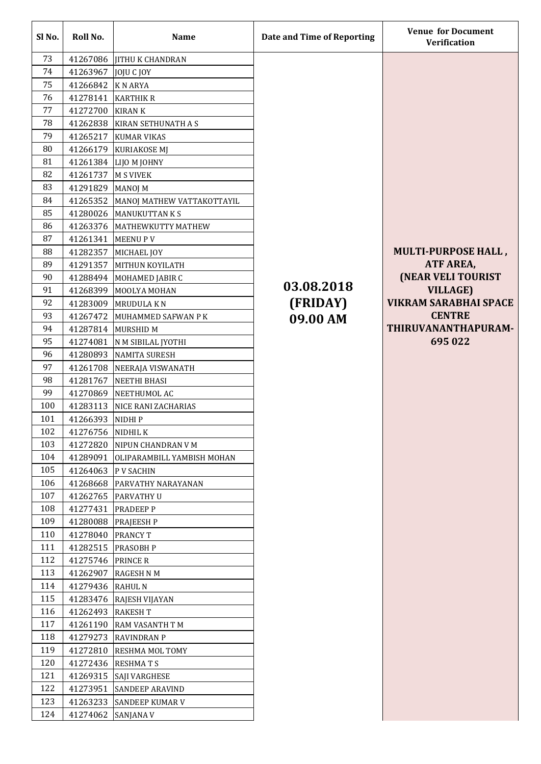| Sl No. | Roll No.            | <b>Name</b>                       | Date and Time of Reporting | <b>Venue for Document</b><br>Verification |
|--------|---------------------|-----------------------------------|----------------------------|-------------------------------------------|
| 73     |                     | 41267086 JITHU K CHANDRAN         |                            |                                           |
| 74     | 41263967            | JOJU C JOY                        |                            |                                           |
| 75     | 41266842            | <b>KNARYA</b>                     |                            |                                           |
| 76     | 41278141            | <b>KARTHIK R</b>                  |                            |                                           |
| 77     | 41272700 KIRAN K    |                                   |                            |                                           |
| 78     |                     | 41262838 KIRAN SETHUNATH A S      |                            |                                           |
| 79     | 41265217            | <b>KUMAR VIKAS</b>                |                            |                                           |
| 80     | 41266179            | KURIAKOSE MJ                      |                            |                                           |
| 81     |                     | 41261384   LIJO M JOHNY           |                            |                                           |
| 82     | 41261737            | <b>M S VIVEK</b>                  |                            |                                           |
| 83     | 41291829            | MANOJ M                           |                            |                                           |
| 84     | 41265352            | MANOJ MATHEW VATTAKOTTAYIL        |                            |                                           |
| 85     |                     | 41280026 MANUKUTTAN KS            |                            |                                           |
| 86     |                     | 41263376   MATHEWKUTTY MATHEW     |                            |                                           |
| 87     | 41261341            | <b>MEENUPV</b>                    |                            |                                           |
| 88     | 41282357            | MICHAEL JOY                       |                            | <b>MULTI-PURPOSE HALL,</b>                |
| 89     | 41291357            | MITHUN KOYILATH                   |                            | ATF AREA,                                 |
| 90     | 41288494            | MOHAMED JABIR C                   |                            | <b>(NEAR VELI TOURIST)</b>                |
| 91     | 41268399            | MOOLYA MOHAN                      | 03.08.2018                 | <b>VILLAGE)</b>                           |
| 92     | 41283009            | <b>MRUDULAKN</b>                  | (FRIDAY)                   | <b>VIKRAM SARABHAI SPACE</b>              |
| 93     | 41267472            | MUHAMMED SAFWAN P K               | 09.00 AM                   | <b>CENTRE</b>                             |
| 94     |                     | 41287814 MURSHID M                |                            | THIRUVANANTHAPURAM-                       |
| 95     | 41274081            | N M SIBILAL JYOTHI                |                            | 695 022                                   |
| 96     |                     | 41280893 NAMITA SURESH            |                            |                                           |
| 97     |                     | 41261708 NEERAJA VISWANATH        |                            |                                           |
| 98     |                     | 41281767 NEETHI BHASI             |                            |                                           |
| 99     | 41270869            | NEETHUMOL AC                      |                            |                                           |
| 100    |                     | 41283113 NICE RANI ZACHARIAS      |                            |                                           |
| 101    | 41266393            | NIDHI P                           |                            |                                           |
| 102    | 41276756 NIDHIL K   |                                   |                            |                                           |
| 103    |                     | 41272820   NIPUN CHANDRAN V M     |                            |                                           |
| 104    | 41289091            | <b>OLIPARAMBILL YAMBISH MOHAN</b> |                            |                                           |
| 105    | 41264063 P V SACHIN |                                   |                            |                                           |
| 106    | 41268668            | <b>PARVATHY NARAYANAN</b>         |                            |                                           |
| 107    |                     | 41262765 PARVATHY U               |                            |                                           |
| 108    | 41277431            | <b>PRADEEP P</b>                  |                            |                                           |
| 109    |                     | 41280088 PRAJEESH P               |                            |                                           |
| 110    | 41278040 PRANCY T   |                                   |                            |                                           |
| 111    |                     | 41282515 PRASOBH P                |                            |                                           |
| 112    | 41275746 PRINCE R   |                                   |                            |                                           |
| 113    | 41262907            | <b>RAGESH N M</b>                 |                            |                                           |
| 114    | 41279436 RAHUL N    |                                   |                            |                                           |
| 115    | 41283476            | <b>RAJESH VIJAYAN</b>             |                            |                                           |
| 116    | 41262493 RAKESH T   |                                   |                            |                                           |
| 117    |                     | 41261190 RAM VASANTH TM           |                            |                                           |
| 118    |                     | 41279273 RAVINDRAN P              |                            |                                           |
| 119    |                     | 41272810 RESHMA MOL TOMY          |                            |                                           |
| 120    |                     | 41272436 RESHMATS                 |                            |                                           |
| 121    |                     | 41269315 SAJI VARGHESE            |                            |                                           |
| 122    |                     | 41273951 SANDEEP ARAVIND          |                            |                                           |
| 123    | 41263233            | <b>SANDEEP KUMAR V</b>            |                            |                                           |
| 124    | 41274062            | <b>SANJANA V</b>                  |                            |                                           |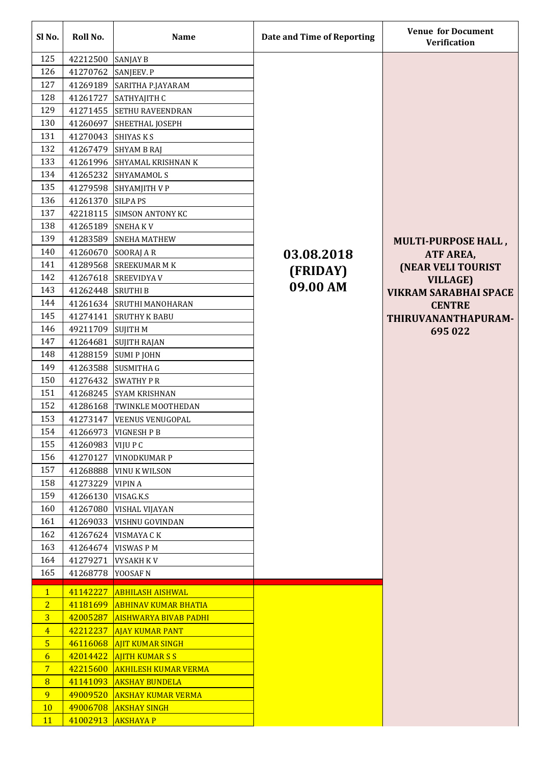| Sl No.          | Roll No. | <b>Name</b>                  | Date and Time of Reporting | <b>Venue for Document</b><br><b>Verification</b> |
|-----------------|----------|------------------------------|----------------------------|--------------------------------------------------|
| 125             | 42212500 | <b>SANJAY B</b>              |                            |                                                  |
| 126             | 41270762 | SANJEEV. P                   |                            |                                                  |
| 127             | 41269189 | SARITHA P.JAYARAM            |                            |                                                  |
| 128             | 41261727 | SATHYAJITH C                 |                            |                                                  |
| 129             | 41271455 | <b>SETHU RAVEENDRAN</b>      |                            |                                                  |
| 130             | 41260697 | SHEETHAL JOSEPH              |                            |                                                  |
| 131             | 41270043 | SHIYAS K S                   |                            |                                                  |
| 132             | 41267479 | <b>SHYAM B RAJ</b>           |                            |                                                  |
| 133             | 41261996 | <b>SHYAMAL KRISHNAN K</b>    |                            |                                                  |
| 134             | 41265232 | <b>SHYAMAMOLS</b>            |                            |                                                  |
| 135             | 41279598 | SHYAMJITH V P                |                            |                                                  |
| 136             | 41261370 | <b>SILPA PS</b>              |                            |                                                  |
| 137             | 42218115 | <b>SIMSON ANTONY KC</b>      |                            |                                                  |
| 138             | 41265189 | <b>SNEHAKV</b>               |                            |                                                  |
| 139             | 41283589 | <b>SNEHA MATHEW</b>          |                            | <b>MULTI-PURPOSE HALL,</b>                       |
| 140             | 41260670 | SOORAJ AR                    | 03.08.2018                 | ATF AREA,                                        |
| 141             | 41289568 | <b>SREEKUMAR M K</b>         |                            | <b>(NEAR VELI TOURIST</b>                        |
| 142             | 41267618 | <b>SREEVIDYA V</b>           | (FRIDAY)                   | <b>VILLAGE)</b>                                  |
| 143             | 41262448 | <b>SRUTHIB</b>               | 09.00 AM                   | <b>VIKRAM SARABHAI SPACE</b>                     |
| 144             | 41261634 | <b>SRUTHI MANOHARAN</b>      |                            | <b>CENTRE</b>                                    |
| 145             | 41274141 | <b>SRUTHY K BABU</b>         |                            | THIRUVANANTHAPURAM-                              |
| 146             | 49211709 | <b>SUJITH M</b>              |                            | 695 022                                          |
| 147             | 41264681 | <b>SUJITH RAJAN</b>          |                            |                                                  |
| 148             |          | 41288159 SUMI P JOHN         |                            |                                                  |
| 149             | 41263588 | <b>SUSMITHA G</b>            |                            |                                                  |
| 150             | 41276432 | <b>SWATHY P R</b>            |                            |                                                  |
| 151             | 41268245 | <b>SYAM KRISHNAN</b>         |                            |                                                  |
| 152             | 41286168 | TWINKLE MOOTHEDAN            |                            |                                                  |
| 153             | 41273147 | <b>VEENUS VENUGOPAL</b>      |                            |                                                  |
| 154             | 41266973 | <b>VIGNESH P B</b>           |                            |                                                  |
| 155             | 41260983 | <b>VIJUPC</b>                |                            |                                                  |
| 156             | 41270127 | <b>VINODKUMAR P</b>          |                            |                                                  |
| 157             | 41268888 | <b>VINU K WILSON</b>         |                            |                                                  |
| 158             | 41273229 | <b>VIPINA</b>                |                            |                                                  |
| 159             | 41266130 | VISAG.K.S                    |                            |                                                  |
| 160             | 41267080 | <b>VISHAL VIJAYAN</b>        |                            |                                                  |
| 161             | 41269033 | VISHNU GOVINDAN              |                            |                                                  |
| 162             | 41267624 | <b>VISMAYA CK</b>            |                            |                                                  |
| 163             | 41264674 | <b>VISWAS PM</b>             |                            |                                                  |
| 164             | 41279271 | <b>VYSAKH KV</b>             |                            |                                                  |
| 165             | 41268778 | YOOSAF N                     |                            |                                                  |
| $\mathbf{1}$    | 41142227 | <b>ABHILASH AISHWAL</b>      |                            |                                                  |
| $\overline{2}$  | 41181699 | <b>ABHINAV KUMAR BHATIA</b>  |                            |                                                  |
| $\overline{3}$  | 42005287 | <b>AISHWARYA BIVAB PADHI</b> |                            |                                                  |
| $\overline{4}$  | 42212237 | <b>AJAY KUMAR PANT</b>       |                            |                                                  |
| 5 <sub>5</sub>  | 46116068 | <b>AJIT KUMAR SINGH</b>      |                            |                                                  |
| 6               | 42014422 | <b>AIITH KUMARSS</b>         |                            |                                                  |
| $7\phantom{.0}$ | 42215600 | <b>AKHILESH KUMAR VERMA</b>  |                            |                                                  |
| 8               | 41141093 | <b>AKSHAY BUNDELA</b>        |                            |                                                  |
| 9               | 49009520 | <b>AKSHAY KUMAR VERMA</b>    |                            |                                                  |
| <b>10</b>       | 49006708 | <b>AKSHAY SINGH</b>          |                            |                                                  |
| <b>11</b>       | 41002913 | <b>AKSHAYA P</b>             |                            |                                                  |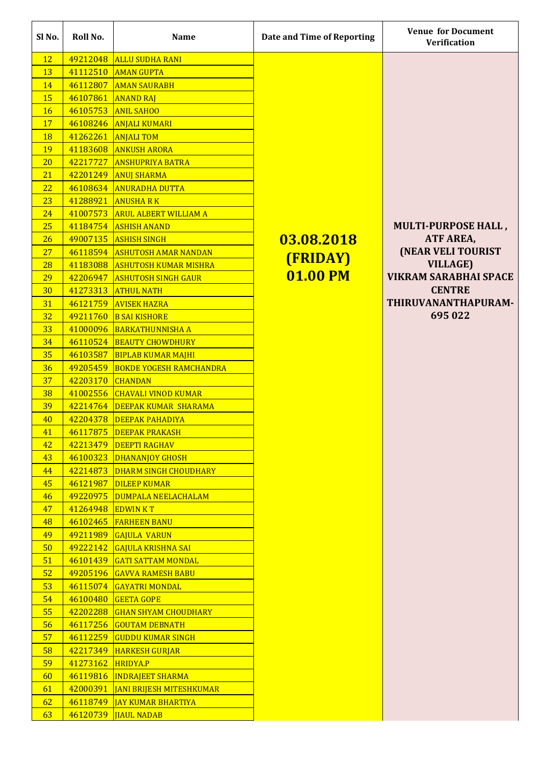| Sl No.    | Roll No.         | <b>Name</b>                       | Date and Time of Reporting | <b>Venue for Document</b><br><b>Verification</b> |
|-----------|------------------|-----------------------------------|----------------------------|--------------------------------------------------|
| <b>12</b> | 49212048         | <b>ALLU SUDHA RANI</b>            |                            |                                                  |
| 13        | 41112510         | <b>AMAN GUPTA</b>                 |                            |                                                  |
| 14        | 46112807         | <b>AMAN SAURABH</b>               |                            |                                                  |
| 15        | 46107861         | <b>ANAND RAJ</b>                  |                            |                                                  |
| <b>16</b> | 46105753         | <b>ANIL SAHOO</b>                 |                            |                                                  |
| <b>17</b> | 46108246         | <b>ANJALI KUMARI</b>              |                            |                                                  |
| <b>18</b> | 41262261         | <b>ANJALI TOM</b>                 |                            |                                                  |
| <b>19</b> | 41183608         | <b>ANKUSH ARORA</b>               |                            |                                                  |
| <b>20</b> | 42217727         | <b>ANSHUPRIYA BATRA</b>           |                            |                                                  |
| 21        | 42201249         | <b>ANUJ SHARMA</b>                |                            |                                                  |
| 22        | 46108634         | <b>ANURADHA DUTTA</b>             |                            |                                                  |
| 23        | 41288921         | <b>ANUSHARK</b>                   |                            |                                                  |
| 24        | 41007573         | <b>ARUL ALBERT WILLIAM A</b>      |                            |                                                  |
| 25        | 41184754         | <b>ASHISH ANAND</b>               |                            | <b>MULTI-PURPOSE HALL,</b>                       |
| 26        | 49007135         | <b>ASHISH SINGH</b>               | 03.08.2018                 | ATF AREA,                                        |
| <b>27</b> | 46118594         | <b>ASHUTOSH AMAR NANDAN</b>       |                            | (NEAR VELI TOURIST                               |
| 28        | 41183088         | <b>ASHUTOSH KUMAR MISHRA</b>      | <b>(FRIDAY)</b>            | <b>VILLAGE)</b>                                  |
| 29        | 42206947         | <b>ASHUTOSH SINGH GAUR</b>        | 01.00 PM                   | <b>VIKRAM SARABHAI SPACE</b>                     |
| 30        | 41273313         | <b>ATHUL NATH</b>                 |                            | <b>CENTRE</b>                                    |
| 31        | 46121759         | <b>AVISEK HAZRA</b>               |                            | THIRUVANANTHAPURAM-                              |
| 32        | 49211760         | <b>B SAI KISHORE</b>              |                            | 695 022                                          |
| 33        | 41000096         | <b>BARKATHUNNISHA A</b>           |                            |                                                  |
| 34        | 46110524         | <b>BEAUTY CHOWDHURY</b>           |                            |                                                  |
| 35        |                  | 46103587 BIPLAB KUMAR MAJHI       |                            |                                                  |
| 36        | 49205459         | <b>BOKDE YOGESH RAMCHANDRA</b>    |                            |                                                  |
| 37        | 42203170 CHANDAN |                                   |                            |                                                  |
| 38        |                  | 41002556 CHAVALI VINOD KUMAR      |                            |                                                  |
| 39        |                  | 42214764 DEEPAK KUMAR SHARAMA     |                            |                                                  |
| 40        | 42204378         | <b>DEEPAK PAHADIYA</b>            |                            |                                                  |
| 41        | 46117875         | <b>DEEPAK PRAKASH</b>             |                            |                                                  |
| 42        | 42213479         | <b>DEEPTI RAGHAV</b>              |                            |                                                  |
| 43        | 46100323         | <b>DHANANJOY GHOSH</b>            |                            |                                                  |
| 44        | 42214873         | <b>DHARM SINGH CHOUDHARY</b>      |                            |                                                  |
| 45        | 46121987         | <b>DILEEP KUMAR</b>               |                            |                                                  |
| 46        | 49220975         | <b>DUMPALA NEELACHALAM</b>        |                            |                                                  |
| 47        | 41264948         | <b>EDWINKT</b>                    |                            |                                                  |
| 48        | 46102465         | <b>FARHEEN BANU</b>               |                            |                                                  |
| 49        | 49211989         | <b>GAJULA VARUN</b>               |                            |                                                  |
| 50        | 49222142         | <b>GAJULA KRISHNA SAI</b>         |                            |                                                  |
| 51        | 46101439         | <b>GATI SATTAM MONDAL</b>         |                            |                                                  |
| 52        | 49205196         | <b>GAVVA RAMESH BABU</b>          |                            |                                                  |
| 53        | 46115074         | <b>GAYATRI MONDAL</b>             |                            |                                                  |
| 54        | 46100480         | <b>GEETA GOPE</b>                 |                            |                                                  |
| 55        | 42202288         | <b>GHAN SHYAM CHOUDHARY</b>       |                            |                                                  |
| 56        | 46117256         | <b>GOUTAM DEBNATH</b>             |                            |                                                  |
| 57        | 46112259         | <b>GUDDU KUMAR SINGH</b>          |                            |                                                  |
| 58        | 42217349         | <b>HARKESH GURJAR</b>             |                            |                                                  |
| 59        | 41273162         | <b>HRIDYA.P</b>                   |                            |                                                  |
| 60        |                  | 46119816 INDRAJEET SHARMA         |                            |                                                  |
| 61        |                  | 42000391 JANI BRIJESH MITESHKUMAR |                            |                                                  |
| 62        | 46118749         | <b>JAY KUMAR BHARTIYA</b>         |                            |                                                  |
| 63        | 46120739         | <b>JIAUL NADAB</b>                |                            |                                                  |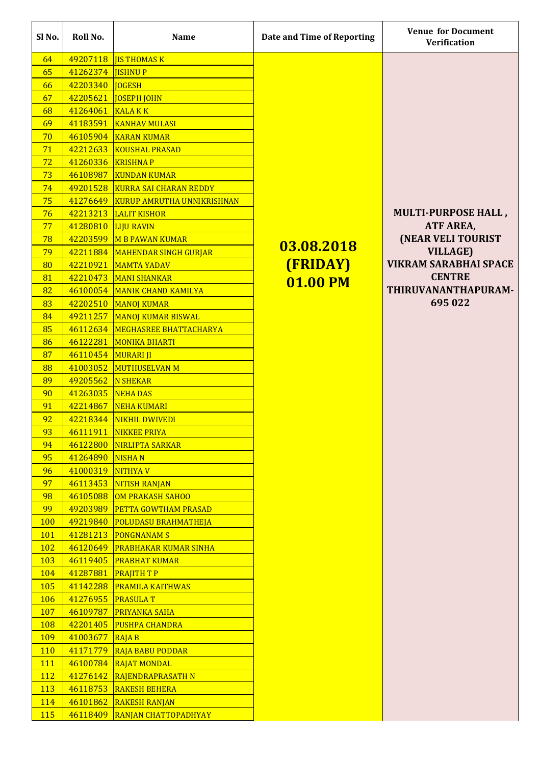| Sl No.     | Roll No.           | <b>Name</b>                       | Date and Time of Reporting | <b>Venue for Document</b><br><b>Verification</b> |
|------------|--------------------|-----------------------------------|----------------------------|--------------------------------------------------|
| 64         | 49207118           | <b>IS THOMAS K</b>                |                            |                                                  |
| 65         | 41262374           | <b>ISHNUP</b>                     |                            |                                                  |
| 66         | 42203340           | <b>IOGESH</b>                     |                            |                                                  |
| 67         | 42205621           | <b>JOSEPH JOHN</b>                |                            |                                                  |
| 68         | 41264061           | <b>KALAKK</b>                     |                            |                                                  |
| 69         | 41183591           | <b>KANHAV MULASI</b>              |                            |                                                  |
| 70         |                    | 46105904 KARAN KUMAR              |                            |                                                  |
| 71         | 42212633           | <b>KOUSHAL PRASAD</b>             |                            |                                                  |
| 72         | 41260336           | <b>KRISHNAP</b>                   |                            |                                                  |
| 73         | 46108987           | <b>KUNDAN KUMAR</b>               |                            |                                                  |
| 74         | 49201528           | <b>KURRA SAI CHARAN REDDY</b>     |                            |                                                  |
| 75         | 41276649           | <b>KURUP AMRUTHA UNNIKRISHNAN</b> |                            |                                                  |
| 76         | 42213213           | <b>LALIT KISHOR</b>               |                            | <b>MULTI-PURPOSE HALL,</b>                       |
| 77         | 41280810           | <b>LIJU RAVIN</b>                 |                            | ATF AREA,                                        |
| 78         | 42203599           | <b>M B PAWAN KUMAR</b>            |                            | <b>(NEAR VELI TOURIST)</b>                       |
| 79         | 42211884           | MAHENDAR SINGH GURJAR             | 03.08.2018                 | <b>VILLAGE)</b>                                  |
| 80         | 42210921           | <b>MAMTA YADAV</b>                | (FRIDAY)                   | <b>VIKRAM SARABHAI SPACE</b>                     |
| 81         | 42210473           | <b>MANI SHANKAR</b>               | 01.00 PM                   | <b>CENTRE</b>                                    |
| 82         | 46100054           | <b>MANIK CHAND KAMILYA</b>        |                            | THIRUVANANTHAPURAM-                              |
| 83         | 42202510           | <b>MANOJ KUMAR</b>                |                            | 695 022                                          |
| 84         | 49211257           | <b>MANOJ KUMAR BISWAL</b>         |                            |                                                  |
| 85         | 46112634           | MEGHASREE BHATTACHARYA            |                            |                                                  |
| 86         | 46122281           | <b>MONIKA BHARTI</b>              |                            |                                                  |
| 87         | 46110454 MURARI JI |                                   |                            |                                                  |
| 88         |                    | 41003052 MUTHUSELVAN M            |                            |                                                  |
| 89         | 49205562 N SHEKAR  |                                   |                            |                                                  |
| 90         | 41263035 NEHA DAS  |                                   |                            |                                                  |
| 91         |                    | 42214867 NEHA KUMARI              |                            |                                                  |
| 92         | 42218344           | NIKHIL DWIVEDI                    |                            |                                                  |
| 93         | 46111911           | NIKKEE PRIYA                      |                            |                                                  |
| 94         | 46122800           | NIRLIPTA SARKAR                   |                            |                                                  |
| 95         | 41264890 NISHA N   |                                   |                            |                                                  |
| 96         | 41000319 NITHYAV   |                                   |                            |                                                  |
| 97         | 46113453           | NITISH RANJAN                     |                            |                                                  |
| 98         | 46105088           | OM PRAKASH SAHOO                  |                            |                                                  |
| 99         | 49203989           | <b>PETTA GOWTHAM PRASAD</b>       |                            |                                                  |
| <b>100</b> | 49219840           | <b>POLUDASU BRAHMATHEJA</b>       |                            |                                                  |
| <b>101</b> | 41281213           | <b>PONGNANAMS</b>                 |                            |                                                  |
| <b>102</b> | 46120649           | <b>PRABHAKAR KUMAR SINHA</b>      |                            |                                                  |
| <b>103</b> | 46119405           | <b>PRABHAT KUMAR</b>              |                            |                                                  |
| <b>104</b> | 41287881           | <b>PRAJITH TP</b>                 |                            |                                                  |
| <b>105</b> | 41142288           | <b>PRAMILA KAITHWAS</b>           |                            |                                                  |
| <b>106</b> | 41276955           | <b>PRASULAT</b>                   |                            |                                                  |
| <b>107</b> | 46109787           | <b>PRIYANKA SAHA</b>              |                            |                                                  |
| <b>108</b> | 42201405           | <b>PUSHPA CHANDRA</b>             |                            |                                                  |
| <b>109</b> | 41003677           | $R$ AJA B                         |                            |                                                  |
| <b>110</b> | 41171779           | <b>RAJA BABU PODDAR</b>           |                            |                                                  |
| 111        |                    | 46100784 RAJAT MONDAL             |                            |                                                  |
| <b>112</b> |                    | 41276142 RAJENDRAPRASATH N        |                            |                                                  |
| <b>113</b> |                    | 46118753 RAKESH BEHERA            |                            |                                                  |
| 114        | 46101862           | <b>RAKESH RANJAN</b>              |                            |                                                  |
| <b>115</b> | 46118409           | <b>RANJAN CHATTOPADHYAY</b>       |                            |                                                  |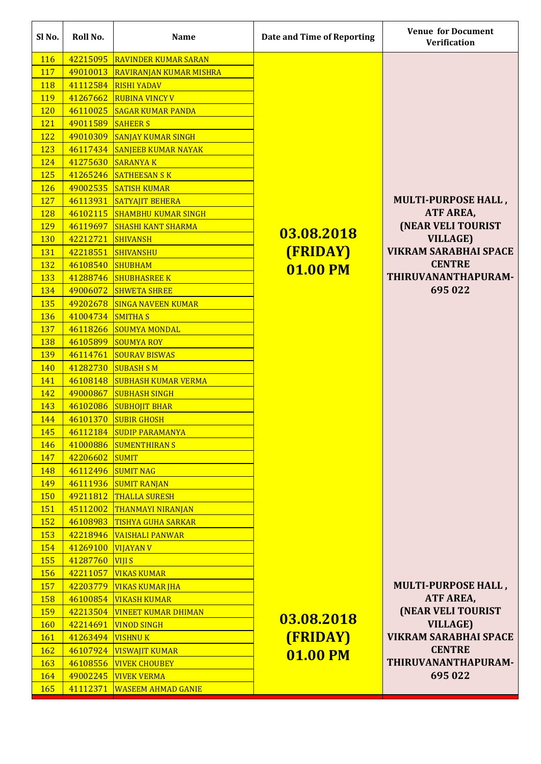| Sl No.     | Roll No.             | <b>Name</b>                                   | Date and Time of Reporting | <b>Venue for Document</b><br><b>Verification</b> |
|------------|----------------------|-----------------------------------------------|----------------------------|--------------------------------------------------|
| <b>116</b> | 42215095             | <b>RAVINDER KUMAR SARAN</b>                   |                            |                                                  |
| <b>117</b> | 49010013             | <b>RAVIRANJAN KUMAR MISHRA</b>                |                            |                                                  |
| <b>118</b> | 41112584             | <b>RISHI YADAV</b>                            |                            |                                                  |
| <b>119</b> | 41267662             | <b>RUBINA VINCY V</b>                         |                            |                                                  |
| <b>120</b> | 46110025             | <b>SAGAR KUMAR PANDA</b>                      |                            |                                                  |
| <b>121</b> | 49011589 SAHEER S    |                                               |                            |                                                  |
| <b>122</b> | 49010309             | <b>SANJAY KUMAR SINGH</b>                     |                            |                                                  |
| 123        | 46117434             | <b>SANJEEB KUMAR NAYAK</b>                    |                            |                                                  |
| 124        | 41275630             | <b>SARANYAK</b>                               |                            |                                                  |
| <b>125</b> | 41265246             | <b>SATHEESAN SK</b>                           |                            |                                                  |
| 126        | 49002535             | <b>SATISH KUMAR</b>                           |                            |                                                  |
| 127        | 46113931             | <b>SATYAJIT BEHERA</b>                        |                            | <b>MULTI-PURPOSE HALL,</b>                       |
| 128        | 46102115             | <b>SHAMBHU KUMAR SINGH</b>                    |                            | ATF AREA,                                        |
| <b>129</b> | 46119697             | <b>SHASHI KANT SHARMA</b>                     |                            | <b>(NEAR VELI TOURIST)</b>                       |
| <b>130</b> | 42212721             | <b>SHIVANSH</b>                               | 03.08.2018                 | <b>VILLAGE)</b>                                  |
| <b>131</b> | 42218551             | <b>SHIVANSHU</b>                              | (FRIDAY)                   | <b>VIKRAM SARABHAI SPACE</b>                     |
| <b>132</b> | 46108540             | <b>SHUBHAM</b>                                | 01.00 PM                   | <b>CENTRE</b>                                    |
| 133        | 41288746             | <b>SHUBHASREE K</b>                           |                            | THIRUVANANTHAPURAM-                              |
| 134        | 49006072             | <b>SHWETA SHREE</b>                           |                            | 695 022                                          |
| <b>135</b> |                      | 49202678 SINGA NAVEEN KUMAR                   |                            |                                                  |
| <b>136</b> | 41004734 SMITHAS     |                                               |                            |                                                  |
| <b>137</b> |                      | 46118266 SOUMYA MONDAL                        |                            |                                                  |
| <b>138</b> |                      | 46105899 SOUMYA ROY                           |                            |                                                  |
| <b>139</b> |                      | 46114761 SOURAV BISWAS                        |                            |                                                  |
| 140        | 41282730             | <b>SUBASH S M</b>                             |                            |                                                  |
| 141        | 46108148             | <b>SUBHASH KUMAR VERMA</b>                    |                            |                                                  |
| 142        | 49000867             | <b>SUBHASH SINGH</b>                          |                            |                                                  |
| 143        |                      | 46102086 SUBHOJIT BHAR                        |                            |                                                  |
| 144        |                      | 46101370 SUBIR GHOSH                          |                            |                                                  |
| 145        |                      | 46112184 SUDIP PARAMANYA                      |                            |                                                  |
| 146        |                      | 41000886 SUMENTHIRAN S                        |                            |                                                  |
| 147        | 42206602             | <b>SUMIT</b>                                  |                            |                                                  |
| 148        | 46112496 SUMIT NAG   |                                               |                            |                                                  |
| 149        | 46111936             | <b>SUMIT RANJAN</b>                           |                            |                                                  |
| 150        | 49211812             | <b>THALLA SURESH</b>                          |                            |                                                  |
| 151        | 45112002             | THANMAYI NIRANJAN                             |                            |                                                  |
| 152        | 46108983             | <b>TISHYA GUHA SARKAR</b>                     |                            |                                                  |
| 153        | 42218946             | <b>VAISHALI PANWAR</b>                        |                            |                                                  |
| 154        | 41269100             | <b>VIJAYAN V</b>                              |                            |                                                  |
| <b>155</b> | 41287760             | <b>VIJIS</b>                                  |                            |                                                  |
| 156        | 42211057             | <b>VIKAS KUMAR</b>                            |                            |                                                  |
| 157        | 42203779             | VIKAS KUMAR JHA                               |                            | <b>MULTI-PURPOSE HALL,</b>                       |
| 158        | 46100854             | <b>VIKASH KUMAR</b>                           |                            | ATF AREA,                                        |
| 159        | 42213504             | <b>VINEET KUMAR DHIMAN</b>                    | 03.08.2018                 | <b>(NEAR VELI TOURIST)</b>                       |
| <b>160</b> | 42214691             | <b>VINOD SINGH</b>                            |                            | <b>VILLAGE)</b><br><b>VIKRAM SARABHAI SPACE</b>  |
| 161        | 41263494             | <b>VISHNUK</b>                                | <b>(FRIDAY)</b>            | <b>CENTRE</b>                                    |
| 162<br>163 | 46107924<br>46108556 | <b>VISWAJIT KUMAR</b><br><b>VIVEK CHOUBEY</b> | 01.00 PM                   | THIRUVANANTHAPURAM-                              |
| 164        | 49002245             | <b>VIVEK VERMA</b>                            |                            | 695 022                                          |
| 165        | 41112371             |                                               |                            |                                                  |
|            |                      | <b>WASEEM AHMAD GANIE</b>                     |                            |                                                  |